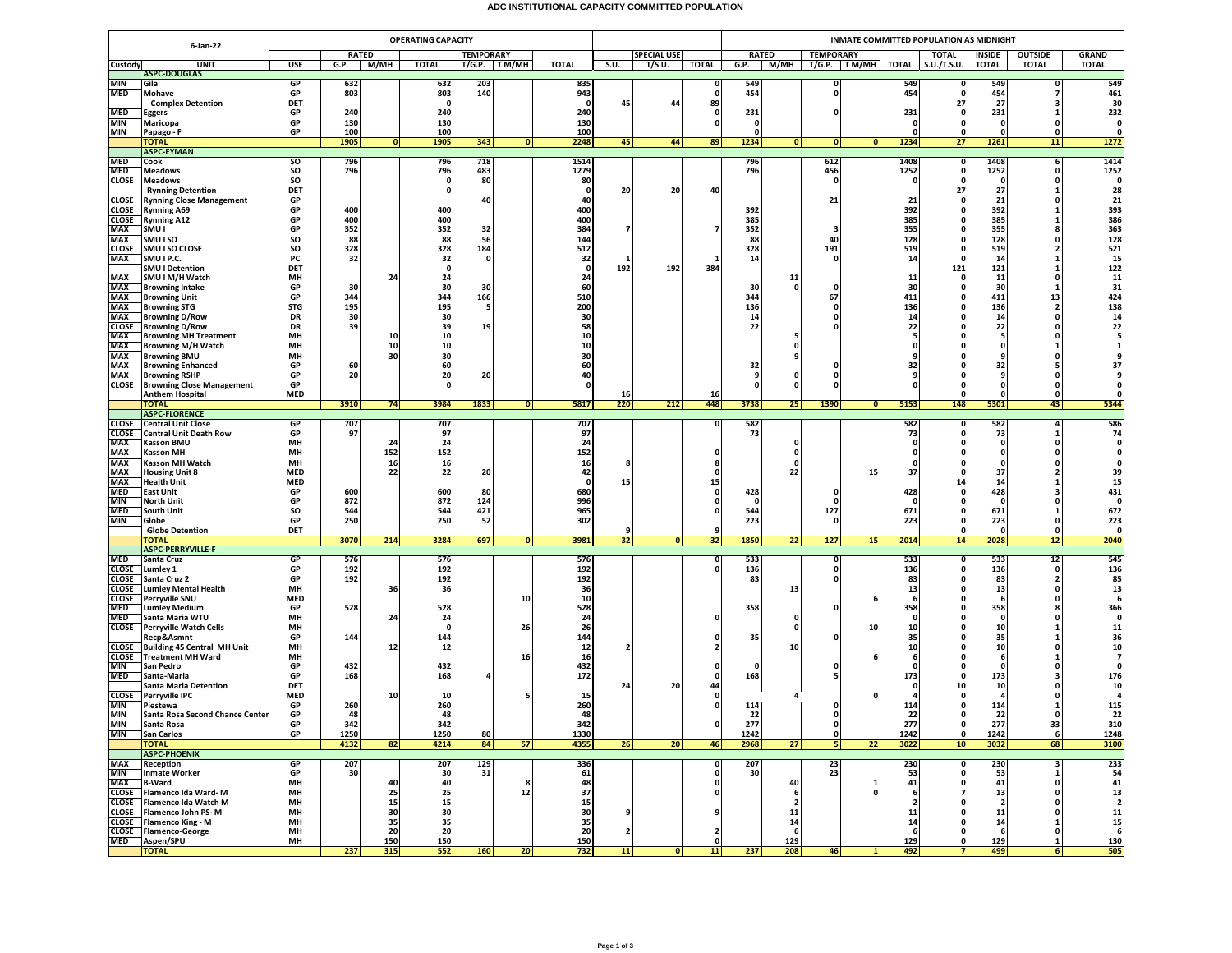## **ADC INSTITUTIONAL CAPACITY COMMITTED POPULATION**

|                          | <b>OPERATING CAPACITY</b>                                     |                  |              |           |                  |           |                 |              |                         |                    |              | INMATE COMMITTED POPULATION AS MIDNIGHT |                         |                                      |                                          |                    |                         |                            |                      |  |  |  |
|--------------------------|---------------------------------------------------------------|------------------|--------------|-----------|------------------|-----------|-----------------|--------------|-------------------------|--------------------|--------------|-----------------------------------------|-------------------------|--------------------------------------|------------------------------------------|--------------------|-------------------------|----------------------------|----------------------|--|--|--|
| 6-Jan-22                 |                                                               | <b>RATED</b>     |              |           | <b>TEMPORARY</b> |           |                 |              |                         | <b>SPECIAL USE</b> |              |                                         | <b>RATED</b>            | <b>TEMPORARY</b>                     | <b>TOTAL</b><br><b>OUTSIDE</b><br>INSIDE |                    |                         |                            | <b>GRAND</b>         |  |  |  |
| Custody                  | <b>UNIT</b>                                                   | USE              | G.P.         | М/МН      | <b>TOTAL</b>     |           | T/G.P. TM/MH    | TOTAL        | S.U.                    | T/S.U.             | <b>TOTAL</b> | G.P.                                    | M/MH                    | T/G.P.   TM/MH                       | TOTAL                                    | S.U./T.S.U.        | <b>TOTAL</b>            | <b>TOTAL</b>               | <b>TOTAL</b>         |  |  |  |
| MIN                      | <b>ASPC-DOUGLAS</b><br>Gila                                   | GP               | 632          |           | 632              | 203       |                 | 835          |                         |                    | 0            | 549                                     |                         | 0                                    | 549                                      |                    | 549                     | $\Omega$                   | 549                  |  |  |  |
| MED                      | Mohave                                                        | GP               | 803          |           | 803              | 140       |                 | 943          |                         |                    | 0            | 454                                     |                         | $\mathbf{0}$                         | 454                                      |                    | 454                     |                            | 461                  |  |  |  |
|                          | <b>Complex Detention</b>                                      | DET              |              |           | - 0              |           |                 | - 0          | 45                      | 44                 | 89           |                                         |                         |                                      |                                          | 27                 | 27                      | ٦                          | 30                   |  |  |  |
| MED<br>MIN               | Eggers                                                        | GP<br>GP         | 240<br>130   |           | 240<br>130       |           |                 | 240<br>130   |                         |                    | - 0<br>o     | 231<br>$\mathbf{0}$                     |                         | ŋ                                    | 231                                      | n<br>$\Omega$      | 231                     |                            | 232<br>$\mathbf{0}$  |  |  |  |
| MIN                      | Maricopa<br>Papago - F                                        | GP               | 100          |           | 100              |           |                 | 100          |                         |                    |              | 0                                       |                         |                                      |                                          |                    |                         |                            | $\mathbf{0}$         |  |  |  |
|                          | <b>TOTAL</b>                                                  |                  | 1905         | 0         | 1905             | 343       | 0               | 2248         | 45                      | 44                 | 89           | 1234                                    | 0                       | 0 <br> 0                             | 1234                                     | 27                 | 1261                    | 11                         | 1272                 |  |  |  |
| <b>MED</b>               | <b>ASPC-EYMAN</b>                                             | so               |              |           | 796              | 718       |                 |              |                         |                    |              | 796                                     |                         | 612                                  | 1408                                     | 0                  | 1408                    |                            | 1414                 |  |  |  |
| <b>MED</b>               | Cook<br><b>Meadows</b>                                        | SO               | 796<br>796   |           | 796              | 483       |                 | 1514<br>1279 |                         |                    |              | 796                                     |                         | 456                                  | 1252                                     | $\Omega$           | 1252                    | 6<br>$\Omega$              | 1252                 |  |  |  |
| CLOSE                    | <b>Meadows</b>                                                | SO               |              |           | 0                | 80        |                 | 80           |                         |                    |              |                                         |                         | 0                                    |                                          |                    | 0                       | 0                          | $\Omega$             |  |  |  |
|                          | <b>Rynning Detention</b>                                      | DET              |              |           | 0                |           |                 | -0           | 20                      | 20                 | 40           |                                         |                         |                                      |                                          | 27                 | 27                      |                            | 28                   |  |  |  |
| CLOSE<br>CLOSE           | <b>Rynning Close Management</b><br><b>Rynning A69</b>         | GP<br>GP         | 400          |           | 400              | 40        |                 | 40<br>400    |                         |                    |              | 392                                     |                         | 21                                   | 21<br>392                                |                    | 21<br>392               | $\Omega$                   | 21<br>393            |  |  |  |
| <b>CLOSE</b>             | <b>Rynning A12</b>                                            | GP               | 400          |           | 400              |           |                 | 400          |                         |                    |              | 385                                     |                         |                                      | 385                                      |                    | 385                     |                            | 386                  |  |  |  |
| MAX                      | SMU I                                                         | GP               | 352          |           | 352              | 32        |                 | 384          |                         |                    | 7            | 352                                     |                         | 3                                    | 355                                      | n                  | 355                     |                            | 363                  |  |  |  |
| MAX<br><b>CLOSE</b>      | SMU I SO<br>SMU I SO CLOSE                                    | SO<br>SO         | 88<br>328    |           | 88<br>328        | 56<br>184 |                 | 144<br>512   |                         |                    |              | 88<br>328                               |                         | 40<br>191                            | 128<br>519                               | 0                  | 128<br>519              |                            | 128<br>521           |  |  |  |
| <b>MAX</b>               | SMU I P.C.                                                    | PC               | 32           |           | 32               | $\Omega$  |                 | 32           | 1                       |                    |              | 14                                      |                         | $\Omega$                             | 14                                       | 0                  | 14                      |                            | 15                   |  |  |  |
|                          | <b>SMU I Detention</b>                                        | DET              |              |           | $\mathbf 0$      |           |                 | 0            | 192                     | 192                | 384          |                                         |                         |                                      |                                          | 121                | 121                     |                            | 122                  |  |  |  |
| <b>MAX</b><br>MAX        | SMU I M/H Watch                                               | MH<br>GP         | 30           | 24        | 24<br>30         | 30        |                 | 24<br>60     |                         |                    |              | 30                                      | 11<br>$\mathbf{0}$      | $\Omega$                             | 11<br>30                                 | n                  | 11<br>30                | 0<br>-1                    | 11<br>31             |  |  |  |
| MAX                      | <b>Browning Intake</b><br><b>Browning Unit</b>                | GP               | 344          |           | 344              | 166       |                 | 510          |                         |                    |              | 344                                     |                         | 67                                   | 411                                      |                    | 411                     | 13                         | 424                  |  |  |  |
| MAX                      | <b>Browning STG</b>                                           | <b>STG</b>       | 195          |           | 195              | -5        |                 | 200          |                         |                    |              | 136                                     |                         | 0                                    | 136                                      |                    | 136                     | $\overline{2}$             | 138                  |  |  |  |
| MAX                      | <b>Browning D/Row</b>                                         | DR               | 30           |           | 30               |           |                 | 30           |                         |                    |              | 14                                      |                         |                                      | 14                                       |                    | 14                      |                            | 14                   |  |  |  |
| <b>CLOSE</b><br>MAX      | <b>Browning D/Row</b><br><b>Browning MH Treatment</b>         | <b>DR</b><br>MH  | 39           | 10        | 39<br>10         | 19        |                 | 58<br>10     |                         |                    |              | 22                                      | - 5                     |                                      | 22                                       |                    | 22<br>-5                | $\Omega$                   | 22                   |  |  |  |
| MAX                      | <b>Browning M/H Watch</b>                                     | MH               |              | 10        | 10               |           |                 | 10           |                         |                    |              |                                         | 0                       |                                      |                                          |                    |                         |                            |                      |  |  |  |
| MAX                      | <b>Browning BMU</b>                                           | MH               |              | 30        | 30               |           |                 | 30           |                         |                    |              |                                         | 9                       |                                      |                                          |                    |                         |                            |                      |  |  |  |
| MAX<br>MAX               | <b>Browning Enhanced</b><br><b>Browning RSHP</b>              | GP<br>GP         | 60<br>20     |           | 60<br>20         | 20        |                 | 60<br>40     |                         |                    |              | 32<br>9                                 | 0                       | o<br>0                               | 32                                       |                    | 32<br>9                 | 0                          | 37                   |  |  |  |
| CLOSE                    | <b>Browning Close Management</b>                              | GP               |              |           | $\Omega$         |           |                 | O            |                         |                    |              | $\Omega$                                | $\Omega$                | 0                                    |                                          |                    |                         | $\mathbf{0}$               |                      |  |  |  |
|                          | <b>Anthem Hospital</b>                                        | <b>MED</b>       |              |           |                  |           |                 |              | 16                      |                    | 16           |                                         |                         |                                      |                                          |                    | $\Omega$                | $\mathbf{0}$               |                      |  |  |  |
|                          | <b>TOTAL</b><br><b>ASPC-FLORENCE</b>                          |                  | 3910         | 74        | 3984             | 1833      | 0               | 5817         | 220                     | 212                | 448          | 3738                                    | 25                      | 1390<br> 0                           | 5153                                     | 148                | 5301                    | 43                         | 5344                 |  |  |  |
| <b>CLOSE</b>             | <b>Central Unit Close</b>                                     | <b>GP</b>        | 707          |           | 707              |           |                 | 707          |                         |                    | 0            | 582                                     |                         |                                      | 582                                      | 0                  | 582                     | 4                          | 586                  |  |  |  |
| <b>CLOSE</b>             | Central Unit Death Row                                        | GP               | 97           |           | 97               |           |                 | 97           |                         |                    |              | 73                                      |                         |                                      | 73                                       | 0                  | 73                      |                            | 74                   |  |  |  |
| MAX<br>MAX               | <b>Kasson BMU</b><br><b>Kasson MH</b>                         | MH<br>MH         |              | 24<br>152 | 24<br>152        |           |                 | 24<br>152    |                         |                    | 0            |                                         | 0<br>$\mathbf{0}$       |                                      |                                          |                    | 0<br>$\Omega$           | $\Omega$                   | $\mathbf{0}$         |  |  |  |
| MAX                      | <b>Kasson MH Watch</b>                                        | MH               |              | 16        | 16               |           |                 | 16           |                         |                    |              |                                         | $\Omega$                |                                      |                                          |                    |                         |                            |                      |  |  |  |
| MAX                      | <b>Housing Unit 8</b>                                         | <b>MED</b>       |              | 22        | 22               | 20        |                 | 42           |                         |                    | n            |                                         | 22                      | 15                                   | 37                                       | n                  | 37                      |                            | 39                   |  |  |  |
| <b>MAX</b>               | <b>Health Unit</b>                                            | <b>MED</b>       |              |           |                  |           |                 | -0           | 15                      |                    | 15           |                                         |                         |                                      |                                          | 14                 | 14                      |                            | 15                   |  |  |  |
| <b>MED</b><br><b>MIN</b> | <b>East Unit</b><br><b>North Unit</b>                         | GP<br>GP         | 600<br>872   |           | 600<br>872       | 80<br>124 |                 | 680<br>996   |                         |                    | 0<br>0       | 428<br>0                                |                         | $\Omega$<br>0                        | 428                                      |                    | 428<br>0                |                            | 431<br>$\mathbf 0$   |  |  |  |
| <b>MED</b>               | South Unit                                                    | SO               | 544          |           | 544              | 421       |                 | 965          |                         |                    | 0            | 544                                     |                         | 127                                  | 671                                      |                    | 671                     |                            | 672                  |  |  |  |
| MIN                      | Globe                                                         | GP               | 250          |           | 250              | 52        |                 | 302          |                         |                    |              | 223                                     |                         | $\mathbf{0}$                         | 223                                      | n                  | 223                     | $\Omega$                   | 223                  |  |  |  |
|                          | <b>Globe Detention</b><br>ΌΤΑΙ                                | DET              | 3070         | 214       | 3284             | 697       | 0               | 3981         | 9<br>32                 | 0                  | 9<br>32      | 1850                                    | 22                      | 127<br>15                            | 2014                                     | n<br>14            | $\Omega$<br>2028        | $\Omega$<br>12             | $\mathbf{0}$<br>2040 |  |  |  |
|                          | <b>ASPC-PERRYVILLE-F</b>                                      |                  |              |           |                  |           |                 |              |                         |                    |              |                                         |                         |                                      |                                          |                    |                         |                            |                      |  |  |  |
| MED                      | Santa Cruz                                                    | GP               | 576          |           | 576              |           |                 | 576          |                         |                    | 0            | 533                                     |                         | $\mathbf{0}$                         | 533                                      | $\mathbf{0}$       | 533                     | 12                         | 545                  |  |  |  |
| CLOSE<br>CLOSE           | Lumley 1<br>Santa Cruz 2                                      | GP<br>GP         | 192<br>192   |           | 192<br>192       |           |                 | 192<br>192   |                         |                    | o            | 136<br>83                               |                         | 0<br>0                               | 136<br>83                                |                    | 136<br>83               | $\Omega$<br>$\overline{2}$ | 136<br>85            |  |  |  |
| <b>CLOSE</b>             | <b>Lumley Mental Health</b>                                   | MH               |              | 36        | 36               |           |                 | 36           |                         |                    |              |                                         | 13                      |                                      | 13                                       | $\Omega$           | 13                      | $\Omega$                   | 13                   |  |  |  |
| CLOSE                    | <b>Perryville SNU</b>                                         | <b>MED</b>       |              |           |                  |           | 10              | 10           |                         |                    |              |                                         |                         | 6                                    |                                          |                    | 6                       | $\Omega$                   | 6                    |  |  |  |
| MED<br><b>MED</b>        | <b>Lumley Medium</b><br>Santa Maria WTU                       | GP<br>MH         | 528          | 24        | 528<br>24        |           |                 | 528<br>24    |                         |                    | 0            | 358                                     | 0                       |                                      | 358                                      |                    | 358<br>0                |                            | 366<br>$\mathbf{0}$  |  |  |  |
|                          | <b>CLOSE</b> Perryville Watch Cells                           | MH               |              |           | $\mathbf{0}$     |           | 26              | 26           |                         |                    |              |                                         | $\mathbf{0}$            | 10                                   | 10                                       |                    | 10                      |                            | 11                   |  |  |  |
|                          | Recp&Asmnt                                                    | GP               | 144          |           | 144              |           |                 | 144          |                         |                    | 0            | 35                                      |                         | ŋ                                    | 35                                       |                    | 35                      |                            | 36                   |  |  |  |
| <b>CLOSE</b>             | Building 45 Central MH Unit<br><b>CLOSE</b> Treatment MH Ward | MН<br>MH         |              | 12        | 12               |           | 16              | 12<br>16     |                         |                    |              |                                         | 10                      |                                      | 10                                       | n                  | 10<br>-6                | 0                          | 10<br>$\overline{7}$ |  |  |  |
| <b>MIN</b>               | San Pedro                                                     | GP               | 432          |           | 432              |           |                 | 432          |                         |                    |              | $\Omega$                                |                         |                                      |                                          |                    | 0                       |                            | $\mathbf{0}$         |  |  |  |
| MED                      | Santa-Maria                                                   | GP               | 168          |           | 168              |           |                 | 172          |                         |                    | 0            | 168                                     |                         |                                      | 173                                      |                    | 173                     |                            | 176                  |  |  |  |
|                          | <b>Santa Maria Detention</b>                                  | DET              |              | 10        |                  |           |                 |              | 24                      | 20                 | 44<br>0      |                                         |                         |                                      |                                          | 10                 | 10                      |                            | 10                   |  |  |  |
| MIN                      | <b>CLOSE</b> Perryville IPC<br>Piestewa                       | <b>MED</b><br>GP | 260          |           | 10<br>260        |           |                 | 15<br>260    |                         |                    | $\Omega$     | 114                                     |                         | 0                                    | 114                                      |                    | 114                     |                            | 115                  |  |  |  |
| MIN                      | Santa Rosa Second Chance Center                               | GP               | 48           |           | 48               |           |                 | 48           |                         |                    |              | 22                                      |                         | $\mathbf{0}$                         | 22                                       | n                  | 22                      | $\Omega$                   | 22                   |  |  |  |
| MIN                      | Santa Rosa                                                    | GP               | 342          |           | 342              |           |                 | 342          |                         |                    |              | 277                                     |                         | $\mathbf{0}$                         | 277                                      |                    | 277                     | 33                         | 310                  |  |  |  |
| MIN                      | <b>San Carlos</b><br><b>TOTAL</b>                             | GP               | 1250<br>4132 | 82        | 1250<br>4214     | 80<br>84  | 57              | 1330<br>4355 | 26                      | 20                 | 46           | 1242<br>2968                            | 27                      | $\mathbf{0}$<br>5 <sub>1</sub><br>22 | 1242<br>3022                             | $\mathbf{0}$<br>10 | 1242<br>3032            | 6<br>68                    | 1248<br>3100         |  |  |  |
|                          | <b>ASPC-PHOENIX</b>                                           |                  |              |           |                  |           |                 |              |                         |                    |              |                                         |                         |                                      |                                          |                    |                         |                            |                      |  |  |  |
| MAX                      | Reception                                                     | GP               | 207          |           | 207              | 129       |                 | 336          |                         |                    | o            | 207                                     |                         | 23                                   | 230                                      | $\Omega$           | 230                     |                            | 233                  |  |  |  |
| MIN<br><b>MAX</b>        | <b>Inmate Worker</b><br><b>B-Ward</b>                         | GP<br>MH         | 30           | 40        | 30<br>40         | 31        | 8               | 61<br>48     |                         |                    | o<br>0       | 30                                      | 40                      | 23<br>1                              | 53<br>41                                 | 0                  | 53<br>41                | 0                          | 54<br>41             |  |  |  |
|                          | CLOSE Flamenco Ida Ward-M                                     | MH               |              | 25        | 25               |           | 12              | 37           |                         |                    | 0            |                                         | 6                       |                                      |                                          |                    | 13                      |                            | 13                   |  |  |  |
|                          | <b>CLOSE</b> Flamenco Ida Watch M                             | MH               |              | 15        | 15               |           |                 | 15           |                         |                    |              |                                         | $\overline{\mathbf{2}}$ |                                      |                                          |                    | $\overline{\mathbf{2}}$ |                            | $\overline{2}$       |  |  |  |
|                          | CLOSE Flamenco John PS-M<br><b>CLOSE</b> Flamenco King - M    | MH<br>MH         |              | 30<br>35  | 30<br>35         |           |                 | 30<br>35     | 9                       |                    | 9            |                                         | 11<br>14                |                                      | 11<br>14                                 | n                  | 11<br>14                | $\Omega$<br>-1             | 11<br>15             |  |  |  |
|                          | CLOSE Flamenco-George                                         | MH               |              | 20        | 20               |           |                 | 20           | $\overline{\mathbf{2}}$ |                    | 2            |                                         | 6                       |                                      | -6                                       | n                  | -6                      | $\Omega$                   | - 6                  |  |  |  |
| MED                      | Aspen/SPU                                                     | MH               |              | 150       | 150              |           |                 | 150          |                         |                    | o            |                                         | 129                     |                                      | 129                                      | n                  | 129                     | $\mathbf{1}$               | 130                  |  |  |  |
|                          | <b>TOTAL</b>                                                  |                  | 237          | 315       | 552              | 160       | 20 <sup>1</sup> | 732          | 11                      | $\overline{0}$     | 11           | 237                                     | 208                     | 46<br>$\mathbf{1}$                   | 492                                      | 71                 | 499                     | 6 <sup>1</sup>             | 505                  |  |  |  |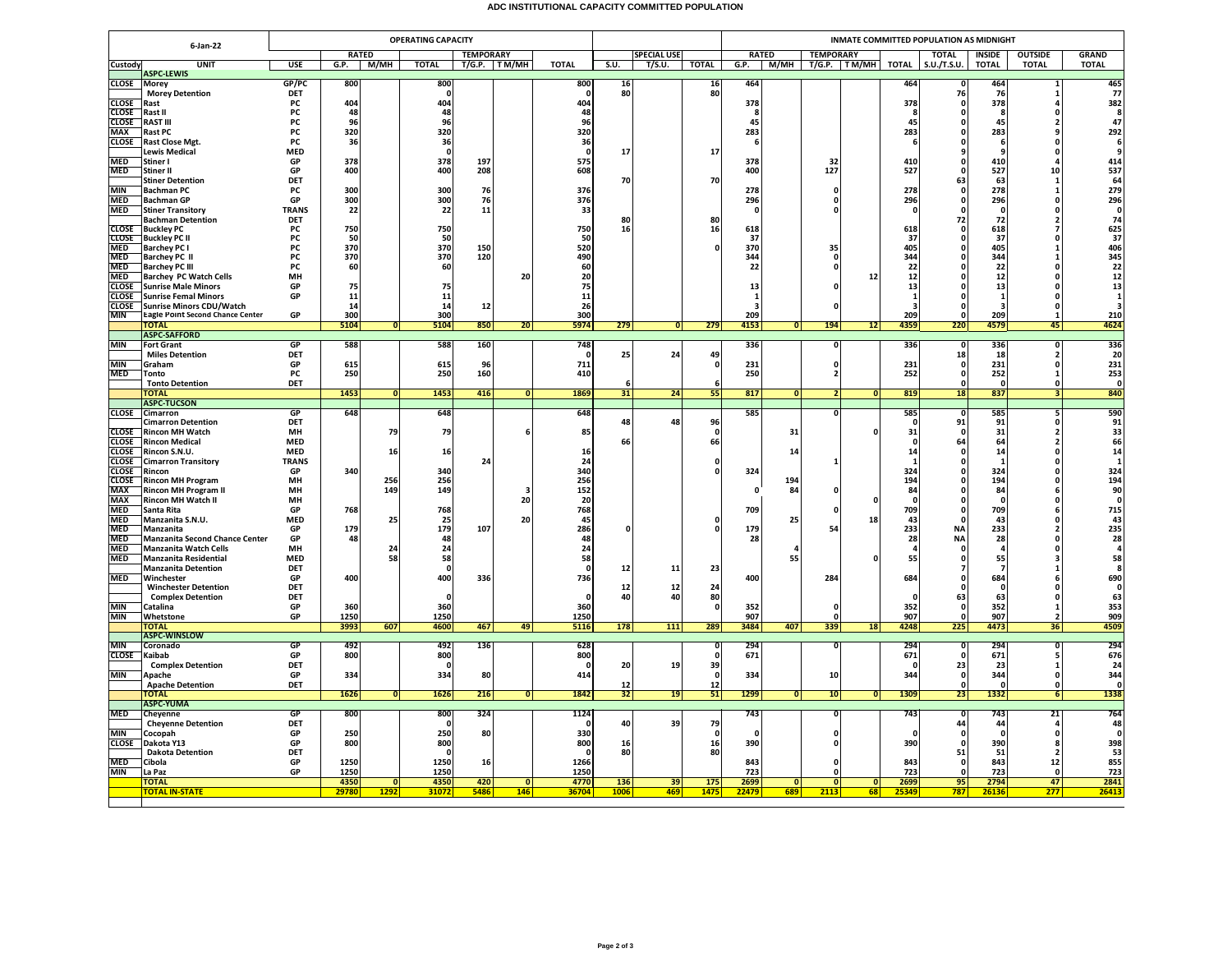## **ADC INSTITUTIONAL CAPACITY COMMITTED POPULATION**

| <b>RATED</b><br><b>TEMPORARY</b><br><b>SPECIAL USE</b><br><b>RATED</b><br><b>TEMPORARY</b><br><b>TOTAL</b><br><b>INSIDE</b><br><b>OUTSIDE</b><br><b>GRAND</b><br><b>UNIT</b><br><b>TOTAL</b><br>S.U.<br><b>TOTAL</b><br><b>TOTAL</b><br>Custody<br><b>USE</b><br>G.P.<br> M/MH <br>$T/G.P.$ TM/MH<br><b>TOTAL</b><br>T/S.U.<br>G.P.<br>M/MH<br>T/G.P. TM/MH<br>S.U./T.S.U.<br><b>TOTAL</b><br><b>TOTAL</b><br><b>TOTAL</b><br><b>ASPC-LEWIS</b><br><b>CLOSE</b><br><b>Morey</b><br>GP/PC<br>800<br>800<br>800<br>464<br>464<br>464<br>465<br>77<br>$\frac{16}{80}$<br>16<br><b>Morey Detention</b><br>DET<br>80<br>76<br>76<br>382<br>404<br>378<br>378<br>404<br>404<br>378<br><b>CLOSE</b><br>Rast<br><b>PC</b><br><b>CLOSE</b><br>PC<br>48<br>48<br>48<br>Rast II<br>$\Omega$<br>- 5<br>-8<br><b>CLOSE</b><br><b>RAST III</b><br>PC<br>96<br>96<br>96<br>45<br>45<br>45<br>320<br><b>MAX</b><br>Rast PC<br>PC<br>320<br>320<br>283<br>283<br>283<br><b>CLOSE</b><br>36<br>36<br><b>Rast Close Mgt.</b><br><b>PC</b><br>36<br>6<br>-6<br>$\Omega$<br><b>Lewis Medical</b><br><b>MED</b><br>17<br>17<br>$\mathbf{0}$<br>$\mathbf{0}$<br>- 0<br>٩<br><b>MED</b><br>378<br>378<br>575<br>378<br>Stiner I<br>GP<br>197<br>32<br>410<br>410<br>414<br>127<br>${\bf 10}$<br>GP<br>400<br>208<br>608<br>527<br>527<br><b>MED</b><br><b>Stiner II</b><br>400<br>400<br>$\Omega$<br>DET<br>70<br>70<br>63<br>63<br><b>Stiner Detention</b><br>1<br><b>MIN</b><br>PC<br>300<br>300<br>76<br>376<br>278<br>278<br>278<br><b>Bachman PC</b><br>0<br>1<br><b>MED</b><br>296<br><b>Bachman GP</b><br>GP<br>300<br>300<br>76<br>376<br>296<br>296<br>296<br>0<br>0<br><b>MED</b><br>22<br>33<br><b>Stiner Transitory</b><br><b>TRANS</b><br>22<br>11<br>$\mathbf{0}$<br>$\mathbf{0}$<br>$\mathbf{0}$<br>$\Omega$<br><b>DET</b><br>80<br>72<br>72<br><b>Bachman Detention</b><br>80<br>$\overline{2}$<br><b>CLOSE</b><br>750<br>16<br>625<br>37<br><b>Buckley PC</b><br>PC<br>750<br>750<br>16<br>618<br>618<br>618<br>50<br>50<br>PC<br>50<br>37<br><b>CLOSE</b><br><b>Buckley PC II</b><br>37<br>-37<br>$\Omega$<br>370<br>520<br>405<br><b>MED</b><br><b>Barchey PC I</b><br>PC<br>370<br>150<br>370<br>405<br>35<br>$\Omega$<br>$\mathbf{1}$<br>344<br><b>MED</b><br><b>Barchey PC II</b><br>PC<br>370<br>370<br>120<br>490<br>344<br>344<br>0<br>22<br><b>MED</b><br><b>Barchey PC III</b><br>60<br>60<br>60<br>22<br>22<br><b>PC</b><br>$\mathbf{0}$<br>$\Omega$<br>12<br><b>MED</b><br><b>Barchey PC Watch Cells</b><br>MH<br>20<br>20<br>12<br>12<br>$\Omega$<br>75<br>75<br>75<br>13<br>13<br><b>CLOSE</b><br><b>Sunrise Male Minors</b><br>GP<br>13<br><b>CLOSE</b><br><b>Sunrise Femal Minors</b><br>GP<br>11<br>11<br>11<br>$\mathbf{1}$<br>0<br>14<br>26<br><b>CLOSE</b><br>14<br>12<br><b>Sunrise Minors CDU/Watch</b><br>в<br>$\Omega$<br>з<br>з<br>$\Omega$<br><b>Eagle Point Second Chance Center</b><br>300<br>300<br>300<br>209<br>MIN<br>GP<br>209<br>209<br>$\mathbf{1}$<br>5104<br>5104<br>850<br>20<br>5974<br>279<br>279<br>4153<br>194<br>12<br>4359<br>220<br>4579<br><b>TOTAL</b><br>$\overline{0}$<br> 0 <br> 0 <br>45<br><b>ASPC-SAFFORD</b><br><b>MIN</b><br><b>GP</b><br>588<br>588<br>160<br>748<br>336<br>336<br>336<br><b>Fort Grant</b><br>0<br>$\Omega$<br><b>DET</b><br>25<br>24<br><b>Miles Detention</b><br>49<br>18<br>18<br>$\overline{2}$<br>711<br><b>MIN</b><br>Graham<br>GP<br>615<br>615<br>96<br>$\mathbf 0$<br>231<br>231<br>231<br>0<br>0<br>$\Omega$<br>253<br><b>MED</b><br>250<br>160<br>252<br>PC<br>250<br>410<br>250<br>252<br>Tonto<br>$\overline{2}$<br>$\Omega$<br>-1<br>DET<br><b>Tonto Detention</b><br>$\Omega$<br>6<br>- 0<br>1453<br>1453<br>416<br>1869<br>31<br>24<br>55<br>817<br>819<br>18<br>837<br><b>TOTAL</b><br>$\overline{0}$<br> 0 <br> 0 <br>N<br>$\overline{0}$<br>з<br><b>ASPC-TUCSON</b><br>648<br>648<br>648<br>585<br><b>CLOSE</b><br>GP<br>585<br>585<br>Cimarron<br>$\mathbf{0}$<br>5<br>$\Omega$<br>91<br><b>DET</b><br>48<br>48<br>96<br>91<br>91<br><b>Cimarron Detention</b><br>$\mathbf{0}$<br>$\Omega$<br><b>CLOSE</b><br>79<br>79<br>31<br>31<br>31<br><b>Rincon MH Watch</b><br>MH<br>85<br>$\mathbf{0}$<br>$\overline{2}$<br><b>CLOSE</b><br><b>Rincon Medical</b><br><b>MED</b><br>66<br>66<br>64<br>64<br>$\overline{\mathbf{2}}$<br><b>CLOSE</b><br>MFD<br>14<br>Rincon S.N.U.<br>16<br>16<br>16<br>14<br>14<br>$\Omega$<br><b>CLOSE</b><br><b>Cimarron Transitory</b><br><b>TRANS</b><br>24<br>24<br>$\Omega$<br>-1<br>340<br>324<br>324<br><b>CLOSE</b><br>Rincon<br>GP<br>340<br>340<br>324<br>324<br>0<br>256<br>194<br>256<br>256<br>194<br>194<br><b>CLOSE</b><br><b>Rincon MH Program</b><br>MH<br>$\mathbf{0}$<br>152<br><b>MAX</b><br><b>Rincon MH Program II</b><br>149<br>149<br>84<br>84<br>84<br>MH<br>$\Omega$<br>٦<br>6<br>MAX<br><b>Rincon MH Watch II</b><br>20<br>MH<br>20<br>0<br>715<br><b>MED</b><br>709<br>709<br>Santa Rita<br>GP<br>768<br>768<br>768<br>709<br>6<br><b>MED</b><br><b>MED</b><br>25<br>25<br>20<br>45<br>25<br>18<br>43<br>Manzanita S.N.U.<br>43<br>$\Omega$<br>$\Omega$<br>179<br>233<br><b>MED</b><br>GP<br>179<br>107<br>286<br>179<br>54<br><b>NA</b><br>233<br>Manzanita<br>$\overline{\phantom{a}}$<br>n<br>n<br><b>MED</b><br><b>Manzanita Second Chance Center</b><br>GP<br>48<br>28<br><b>NA</b><br>28<br>48<br>48<br>28<br><b>MED</b><br><b>Manzanita Watch Cells</b><br>MH<br>24<br>24<br>24<br><b>MED</b><br>58<br>55<br>55<br>58<br><b>MED</b><br>58<br>55<br><b>Manzanita Residential</b><br>58<br>٦<br><b>Manzanita Detention</b><br><b>DET</b><br>12<br>11<br>23<br>$\mathbf{0}$<br>- 7<br><b>MED</b><br>400<br>400<br>736<br>400<br>284<br>684<br>684<br>Winchester<br>GP<br>336<br>DET<br>12<br>24<br><b>Winchester Detention</b><br>12<br>$\Omega$<br>n<br>$\Omega$<br>80<br>DFT<br>40<br>40<br>63<br>63<br><b>Complex Detention</b><br>$\Omega$<br>$\Omega$<br>$\Omega$<br>$\Omega$<br><b>MIN</b><br>360<br>360<br>360<br>352<br>352<br>352<br>Catalina<br>GP<br>0<br><b>MIN</b><br>1250<br>1250<br>1250<br>907<br>Whetstone<br>GP<br>907<br>907<br>0<br>$\overline{\phantom{a}}$<br>289<br>3993<br>607<br>4600<br>467<br>5116<br>178<br>111<br>3484<br>407<br>225<br>4473<br>36<br>49<br>339<br>18<br>4248<br><b>TOTAL</b><br><b>ASPC-WINSLOW</b><br><b>MIN</b><br>GP<br>492<br>492<br>136<br>628<br>294<br>294<br>294<br>294<br>Coronado<br>$\overline{\mathbf{0}}$<br><b>CLOSE</b><br>800<br>800<br>671<br>Kaibab<br>GP<br>800<br>671<br>671<br>0<br>39<br>DET<br>20<br>19<br>23<br><b>Complex Detention</b><br>23<br>$\Omega$<br>$\Omega$<br>$\mathbf{1}$<br>- 0<br>334<br>344<br><b>MIN</b><br>GP<br>334<br>334<br>80<br>414<br>10<br>344<br>Apache<br>$\Omega$<br>$\mathbf{0}$<br>- 0<br>DET<br>12<br><b>Apache Detention</b><br>12<br>$\mathbf{0}$<br>$\mathbf{0}$<br>1299<br>1338<br>1626<br>216<br>1842<br>32<br>1309<br>1332<br>1626<br>19<br>51<br>10<br><b>TOTAL</b><br>$\overline{0}$<br> 0 <br> 0 <br>23<br>6<br>0<br><b>ASPC-YUMA</b><br>324<br><b>MED</b><br><b>GP</b><br>800<br>800<br>1124<br>743<br>$\overline{\mathbf{0}}$<br>743<br>743<br>21<br>Cheyenne<br><b>Cheyenne Detention</b><br><b>DET</b><br>40<br>39<br>79<br>44<br>44<br>250<br>250<br>80<br>330<br><b>MIN</b><br>Cocopah<br>GP<br>$\Omega$<br>$\Omega$<br>$\mathbf{0}$<br>$\Omega$<br>$\Omega$<br>$\sqrt{2}$<br>$\Omega$<br><b>CLOSE</b><br>800<br>800<br>398<br>Dakota Y13<br>800<br>16<br>16<br>390<br>390<br>390<br>GP<br>$\Omega$<br>я<br>- 0<br>80<br>80<br>51<br><b>Dakota Detention</b><br>DET<br>$\mathbf{0}$<br>51<br>$\overline{\mathbf{z}}$<br><b>MED</b><br>Cibola<br>GP<br>1250<br>1250<br>16<br>1266<br>843<br>843<br>843<br>12<br>0<br><b>MIN</b><br>1250<br>1250<br>GP<br>1250<br>723<br>723<br>723<br>La Paz<br>$\mathbf{0}$<br>$\Omega$<br>2794<br>2841<br><b>TOTAL</b><br>4350<br>$\overline{0}$<br>4350<br>420<br> 0 <br>4770<br>136<br>39<br>175<br>2699<br>$\overline{0}$<br> 0 <br>2699<br>95<br>47<br>ō<br>68<br>1292<br>31072<br>146<br>36704<br>1006<br>469<br>147 <sup>1</sup><br>22479<br>689<br>787<br>277<br>26413<br><b>TOTAL IN-STATE</b><br>29780<br>5486<br>2113<br>2534<br>26136 | 6-Jan-22 | <b>OPERATING CAPACITY</b> |  |  |  |  |  |  |  |  |  | INMATE COMMITTED POPULATION AS MIDNIGHT |  |  |  |  |  |  |  |                         |  |  |
|-----------------------------------------------------------------------------------------------------------------------------------------------------------------------------------------------------------------------------------------------------------------------------------------------------------------------------------------------------------------------------------------------------------------------------------------------------------------------------------------------------------------------------------------------------------------------------------------------------------------------------------------------------------------------------------------------------------------------------------------------------------------------------------------------------------------------------------------------------------------------------------------------------------------------------------------------------------------------------------------------------------------------------------------------------------------------------------------------------------------------------------------------------------------------------------------------------------------------------------------------------------------------------------------------------------------------------------------------------------------------------------------------------------------------------------------------------------------------------------------------------------------------------------------------------------------------------------------------------------------------------------------------------------------------------------------------------------------------------------------------------------------------------------------------------------------------------------------------------------------------------------------------------------------------------------------------------------------------------------------------------------------------------------------------------------------------------------------------------------------------------------------------------------------------------------------------------------------------------------------------------------------------------------------------------------------------------------------------------------------------------------------------------------------------------------------------------------------------------------------------------------------------------------------------------------------------------------------------------------------------------------------------------------------------------------------------------------------------------------------------------------------------------------------------------------------------------------------------------------------------------------------------------------------------------------------------------------------------------------------------------------------------------------------------------------------------------------------------------------------------------------------------------------------------------------------------------------------------------------------------------------------------------------------------------------------------------------------------------------------------------------------------------------------------------------------------------------------------------------------------------------------------------------------------------------------------------------------------------------------------------------------------------------------------------------------------------------------------------------------------------------------------------------------------------------------------------------------------------------------------------------------------------------------------------------------------------------------------------------------------------------------------------------------------------------------------------------------------------------------------------------------------------------------------------------------------------------------------------------------------------------------------------------------------------------------------------------------------------------------------------------------------------------------------------------------------------------------------------------------------------------------------------------------------------------------------------------------------------------------------------------------------------------------------------------------------------------------------------------------------------------------------------------------------------------------------------------------------------------------------------------------------------------------------------------------------------------------------------------------------------------------------------------------------------------------------------------------------------------------------------------------------------------------------------------------------------------------------------------------------------------------------------------------------------------------------------------------------------------------------------------------------------------------------------------------------------------------------------------------------------------------------------------------------------------------------------------------------------------------------------------------------------------------------------------------------------------------------------------------------------------------------------------------------------------------------------------------------------------------------------------------------------------------------------------------------------------------------------------------------------------------------------------------------------------------------------------------------------------------------------------------------------------------------------------------------------------------------------------------------------------------------------------------------------------------------------------------------------------------------------------------------------------------------------------------------------------------------------------------------------------------------------------------------------------------------------------------------------------------------------------------------------------------------------------------------------------------------------------------------------------------------------------------------------------------------------------------------------------------------------------------------------------------------------------------------------------------------------------------------------------------------------------------------------------------------------------------------------------------------------------------------------------------------------------------------------------------------------------------------------------------------------------------------------------------------------------------------------------------------------------------------------------------------------------------------------------------------------------------------------------------------------------------------------------------------------------------------------------------------------------------------------------------------------------------------------------------------------------------------------------------------------------------------------------------------------------------------------------------------------------------------------------------------------------------------------------------------------------------------------------------------------------------------------------------------------------------------------------------------------------------------------|----------|---------------------------|--|--|--|--|--|--|--|--|--|-----------------------------------------|--|--|--|--|--|--|--|-------------------------|--|--|
|                                                                                                                                                                                                                                                                                                                                                                                                                                                                                                                                                                                                                                                                                                                                                                                                                                                                                                                                                                                                                                                                                                                                                                                                                                                                                                                                                                                                                                                                                                                                                                                                                                                                                                                                                                                                                                                                                                                                                                                                                                                                                                                                                                                                                                                                                                                                                                                                                                                                                                                                                                                                                                                                                                                                                                                                                                                                                                                                                                                                                                                                                                                                                                                                                                                                                                                                                                                                                                                                                                                                                                                                                                                                                                                                                                                                                                                                                                                                                                                                                                                                                                                                                                                                                                                                                                                                                                                                                                                                                                                                                                                                                                                                                                                                                                                                                                                                                                                                                                                                                                                                                                                                                                                                                                                                                                                                                                                                                                                                                                                                                                                                                                                                                                                                                                                                                                                                                                                                                                                                                                                                                                                                                                                                                                                                                                                                                                                                                                                                                                                                                                                                                                                                                                                                                                                                                                                                                                                                                                                                                                                                                                                                                                                                                                                                                                                                                                                                                                                                                                                                                                                                                                                                                                                                                                                                                                                                                                                                                                                                                                                                                                                                                     |          |                           |  |  |  |  |  |  |  |  |  |                                         |  |  |  |  |  |  |  |                         |  |  |
|                                                                                                                                                                                                                                                                                                                                                                                                                                                                                                                                                                                                                                                                                                                                                                                                                                                                                                                                                                                                                                                                                                                                                                                                                                                                                                                                                                                                                                                                                                                                                                                                                                                                                                                                                                                                                                                                                                                                                                                                                                                                                                                                                                                                                                                                                                                                                                                                                                                                                                                                                                                                                                                                                                                                                                                                                                                                                                                                                                                                                                                                                                                                                                                                                                                                                                                                                                                                                                                                                                                                                                                                                                                                                                                                                                                                                                                                                                                                                                                                                                                                                                                                                                                                                                                                                                                                                                                                                                                                                                                                                                                                                                                                                                                                                                                                                                                                                                                                                                                                                                                                                                                                                                                                                                                                                                                                                                                                                                                                                                                                                                                                                                                                                                                                                                                                                                                                                                                                                                                                                                                                                                                                                                                                                                                                                                                                                                                                                                                                                                                                                                                                                                                                                                                                                                                                                                                                                                                                                                                                                                                                                                                                                                                                                                                                                                                                                                                                                                                                                                                                                                                                                                                                                                                                                                                                                                                                                                                                                                                                                                                                                                                                                     |          |                           |  |  |  |  |  |  |  |  |  |                                         |  |  |  |  |  |  |  |                         |  |  |
|                                                                                                                                                                                                                                                                                                                                                                                                                                                                                                                                                                                                                                                                                                                                                                                                                                                                                                                                                                                                                                                                                                                                                                                                                                                                                                                                                                                                                                                                                                                                                                                                                                                                                                                                                                                                                                                                                                                                                                                                                                                                                                                                                                                                                                                                                                                                                                                                                                                                                                                                                                                                                                                                                                                                                                                                                                                                                                                                                                                                                                                                                                                                                                                                                                                                                                                                                                                                                                                                                                                                                                                                                                                                                                                                                                                                                                                                                                                                                                                                                                                                                                                                                                                                                                                                                                                                                                                                                                                                                                                                                                                                                                                                                                                                                                                                                                                                                                                                                                                                                                                                                                                                                                                                                                                                                                                                                                                                                                                                                                                                                                                                                                                                                                                                                                                                                                                                                                                                                                                                                                                                                                                                                                                                                                                                                                                                                                                                                                                                                                                                                                                                                                                                                                                                                                                                                                                                                                                                                                                                                                                                                                                                                                                                                                                                                                                                                                                                                                                                                                                                                                                                                                                                                                                                                                                                                                                                                                                                                                                                                                                                                                                                                     |          |                           |  |  |  |  |  |  |  |  |  |                                         |  |  |  |  |  |  |  |                         |  |  |
|                                                                                                                                                                                                                                                                                                                                                                                                                                                                                                                                                                                                                                                                                                                                                                                                                                                                                                                                                                                                                                                                                                                                                                                                                                                                                                                                                                                                                                                                                                                                                                                                                                                                                                                                                                                                                                                                                                                                                                                                                                                                                                                                                                                                                                                                                                                                                                                                                                                                                                                                                                                                                                                                                                                                                                                                                                                                                                                                                                                                                                                                                                                                                                                                                                                                                                                                                                                                                                                                                                                                                                                                                                                                                                                                                                                                                                                                                                                                                                                                                                                                                                                                                                                                                                                                                                                                                                                                                                                                                                                                                                                                                                                                                                                                                                                                                                                                                                                                                                                                                                                                                                                                                                                                                                                                                                                                                                                                                                                                                                                                                                                                                                                                                                                                                                                                                                                                                                                                                                                                                                                                                                                                                                                                                                                                                                                                                                                                                                                                                                                                                                                                                                                                                                                                                                                                                                                                                                                                                                                                                                                                                                                                                                                                                                                                                                                                                                                                                                                                                                                                                                                                                                                                                                                                                                                                                                                                                                                                                                                                                                                                                                                                                     |          |                           |  |  |  |  |  |  |  |  |  |                                         |  |  |  |  |  |  |  |                         |  |  |
|                                                                                                                                                                                                                                                                                                                                                                                                                                                                                                                                                                                                                                                                                                                                                                                                                                                                                                                                                                                                                                                                                                                                                                                                                                                                                                                                                                                                                                                                                                                                                                                                                                                                                                                                                                                                                                                                                                                                                                                                                                                                                                                                                                                                                                                                                                                                                                                                                                                                                                                                                                                                                                                                                                                                                                                                                                                                                                                                                                                                                                                                                                                                                                                                                                                                                                                                                                                                                                                                                                                                                                                                                                                                                                                                                                                                                                                                                                                                                                                                                                                                                                                                                                                                                                                                                                                                                                                                                                                                                                                                                                                                                                                                                                                                                                                                                                                                                                                                                                                                                                                                                                                                                                                                                                                                                                                                                                                                                                                                                                                                                                                                                                                                                                                                                                                                                                                                                                                                                                                                                                                                                                                                                                                                                                                                                                                                                                                                                                                                                                                                                                                                                                                                                                                                                                                                                                                                                                                                                                                                                                                                                                                                                                                                                                                                                                                                                                                                                                                                                                                                                                                                                                                                                                                                                                                                                                                                                                                                                                                                                                                                                                                                                     |          |                           |  |  |  |  |  |  |  |  |  |                                         |  |  |  |  |  |  |  | -8                      |  |  |
|                                                                                                                                                                                                                                                                                                                                                                                                                                                                                                                                                                                                                                                                                                                                                                                                                                                                                                                                                                                                                                                                                                                                                                                                                                                                                                                                                                                                                                                                                                                                                                                                                                                                                                                                                                                                                                                                                                                                                                                                                                                                                                                                                                                                                                                                                                                                                                                                                                                                                                                                                                                                                                                                                                                                                                                                                                                                                                                                                                                                                                                                                                                                                                                                                                                                                                                                                                                                                                                                                                                                                                                                                                                                                                                                                                                                                                                                                                                                                                                                                                                                                                                                                                                                                                                                                                                                                                                                                                                                                                                                                                                                                                                                                                                                                                                                                                                                                                                                                                                                                                                                                                                                                                                                                                                                                                                                                                                                                                                                                                                                                                                                                                                                                                                                                                                                                                                                                                                                                                                                                                                                                                                                                                                                                                                                                                                                                                                                                                                                                                                                                                                                                                                                                                                                                                                                                                                                                                                                                                                                                                                                                                                                                                                                                                                                                                                                                                                                                                                                                                                                                                                                                                                                                                                                                                                                                                                                                                                                                                                                                                                                                                                                                     |          |                           |  |  |  |  |  |  |  |  |  |                                         |  |  |  |  |  |  |  | 47                      |  |  |
|                                                                                                                                                                                                                                                                                                                                                                                                                                                                                                                                                                                                                                                                                                                                                                                                                                                                                                                                                                                                                                                                                                                                                                                                                                                                                                                                                                                                                                                                                                                                                                                                                                                                                                                                                                                                                                                                                                                                                                                                                                                                                                                                                                                                                                                                                                                                                                                                                                                                                                                                                                                                                                                                                                                                                                                                                                                                                                                                                                                                                                                                                                                                                                                                                                                                                                                                                                                                                                                                                                                                                                                                                                                                                                                                                                                                                                                                                                                                                                                                                                                                                                                                                                                                                                                                                                                                                                                                                                                                                                                                                                                                                                                                                                                                                                                                                                                                                                                                                                                                                                                                                                                                                                                                                                                                                                                                                                                                                                                                                                                                                                                                                                                                                                                                                                                                                                                                                                                                                                                                                                                                                                                                                                                                                                                                                                                                                                                                                                                                                                                                                                                                                                                                                                                                                                                                                                                                                                                                                                                                                                                                                                                                                                                                                                                                                                                                                                                                                                                                                                                                                                                                                                                                                                                                                                                                                                                                                                                                                                                                                                                                                                                                                     |          |                           |  |  |  |  |  |  |  |  |  |                                         |  |  |  |  |  |  |  | 292                     |  |  |
|                                                                                                                                                                                                                                                                                                                                                                                                                                                                                                                                                                                                                                                                                                                                                                                                                                                                                                                                                                                                                                                                                                                                                                                                                                                                                                                                                                                                                                                                                                                                                                                                                                                                                                                                                                                                                                                                                                                                                                                                                                                                                                                                                                                                                                                                                                                                                                                                                                                                                                                                                                                                                                                                                                                                                                                                                                                                                                                                                                                                                                                                                                                                                                                                                                                                                                                                                                                                                                                                                                                                                                                                                                                                                                                                                                                                                                                                                                                                                                                                                                                                                                                                                                                                                                                                                                                                                                                                                                                                                                                                                                                                                                                                                                                                                                                                                                                                                                                                                                                                                                                                                                                                                                                                                                                                                                                                                                                                                                                                                                                                                                                                                                                                                                                                                                                                                                                                                                                                                                                                                                                                                                                                                                                                                                                                                                                                                                                                                                                                                                                                                                                                                                                                                                                                                                                                                                                                                                                                                                                                                                                                                                                                                                                                                                                                                                                                                                                                                                                                                                                                                                                                                                                                                                                                                                                                                                                                                                                                                                                                                                                                                                                                                     |          |                           |  |  |  |  |  |  |  |  |  |                                         |  |  |  |  |  |  |  | -6                      |  |  |
|                                                                                                                                                                                                                                                                                                                                                                                                                                                                                                                                                                                                                                                                                                                                                                                                                                                                                                                                                                                                                                                                                                                                                                                                                                                                                                                                                                                                                                                                                                                                                                                                                                                                                                                                                                                                                                                                                                                                                                                                                                                                                                                                                                                                                                                                                                                                                                                                                                                                                                                                                                                                                                                                                                                                                                                                                                                                                                                                                                                                                                                                                                                                                                                                                                                                                                                                                                                                                                                                                                                                                                                                                                                                                                                                                                                                                                                                                                                                                                                                                                                                                                                                                                                                                                                                                                                                                                                                                                                                                                                                                                                                                                                                                                                                                                                                                                                                                                                                                                                                                                                                                                                                                                                                                                                                                                                                                                                                                                                                                                                                                                                                                                                                                                                                                                                                                                                                                                                                                                                                                                                                                                                                                                                                                                                                                                                                                                                                                                                                                                                                                                                                                                                                                                                                                                                                                                                                                                                                                                                                                                                                                                                                                                                                                                                                                                                                                                                                                                                                                                                                                                                                                                                                                                                                                                                                                                                                                                                                                                                                                                                                                                                                                     |          |                           |  |  |  |  |  |  |  |  |  |                                         |  |  |  |  |  |  |  |                         |  |  |
|                                                                                                                                                                                                                                                                                                                                                                                                                                                                                                                                                                                                                                                                                                                                                                                                                                                                                                                                                                                                                                                                                                                                                                                                                                                                                                                                                                                                                                                                                                                                                                                                                                                                                                                                                                                                                                                                                                                                                                                                                                                                                                                                                                                                                                                                                                                                                                                                                                                                                                                                                                                                                                                                                                                                                                                                                                                                                                                                                                                                                                                                                                                                                                                                                                                                                                                                                                                                                                                                                                                                                                                                                                                                                                                                                                                                                                                                                                                                                                                                                                                                                                                                                                                                                                                                                                                                                                                                                                                                                                                                                                                                                                                                                                                                                                                                                                                                                                                                                                                                                                                                                                                                                                                                                                                                                                                                                                                                                                                                                                                                                                                                                                                                                                                                                                                                                                                                                                                                                                                                                                                                                                                                                                                                                                                                                                                                                                                                                                                                                                                                                                                                                                                                                                                                                                                                                                                                                                                                                                                                                                                                                                                                                                                                                                                                                                                                                                                                                                                                                                                                                                                                                                                                                                                                                                                                                                                                                                                                                                                                                                                                                                                                                     |          |                           |  |  |  |  |  |  |  |  |  |                                         |  |  |  |  |  |  |  | 537                     |  |  |
|                                                                                                                                                                                                                                                                                                                                                                                                                                                                                                                                                                                                                                                                                                                                                                                                                                                                                                                                                                                                                                                                                                                                                                                                                                                                                                                                                                                                                                                                                                                                                                                                                                                                                                                                                                                                                                                                                                                                                                                                                                                                                                                                                                                                                                                                                                                                                                                                                                                                                                                                                                                                                                                                                                                                                                                                                                                                                                                                                                                                                                                                                                                                                                                                                                                                                                                                                                                                                                                                                                                                                                                                                                                                                                                                                                                                                                                                                                                                                                                                                                                                                                                                                                                                                                                                                                                                                                                                                                                                                                                                                                                                                                                                                                                                                                                                                                                                                                                                                                                                                                                                                                                                                                                                                                                                                                                                                                                                                                                                                                                                                                                                                                                                                                                                                                                                                                                                                                                                                                                                                                                                                                                                                                                                                                                                                                                                                                                                                                                                                                                                                                                                                                                                                                                                                                                                                                                                                                                                                                                                                                                                                                                                                                                                                                                                                                                                                                                                                                                                                                                                                                                                                                                                                                                                                                                                                                                                                                                                                                                                                                                                                                                                                     |          |                           |  |  |  |  |  |  |  |  |  |                                         |  |  |  |  |  |  |  | 64                      |  |  |
|                                                                                                                                                                                                                                                                                                                                                                                                                                                                                                                                                                                                                                                                                                                                                                                                                                                                                                                                                                                                                                                                                                                                                                                                                                                                                                                                                                                                                                                                                                                                                                                                                                                                                                                                                                                                                                                                                                                                                                                                                                                                                                                                                                                                                                                                                                                                                                                                                                                                                                                                                                                                                                                                                                                                                                                                                                                                                                                                                                                                                                                                                                                                                                                                                                                                                                                                                                                                                                                                                                                                                                                                                                                                                                                                                                                                                                                                                                                                                                                                                                                                                                                                                                                                                                                                                                                                                                                                                                                                                                                                                                                                                                                                                                                                                                                                                                                                                                                                                                                                                                                                                                                                                                                                                                                                                                                                                                                                                                                                                                                                                                                                                                                                                                                                                                                                                                                                                                                                                                                                                                                                                                                                                                                                                                                                                                                                                                                                                                                                                                                                                                                                                                                                                                                                                                                                                                                                                                                                                                                                                                                                                                                                                                                                                                                                                                                                                                                                                                                                                                                                                                                                                                                                                                                                                                                                                                                                                                                                                                                                                                                                                                                                                     |          |                           |  |  |  |  |  |  |  |  |  |                                         |  |  |  |  |  |  |  | 279                     |  |  |
|                                                                                                                                                                                                                                                                                                                                                                                                                                                                                                                                                                                                                                                                                                                                                                                                                                                                                                                                                                                                                                                                                                                                                                                                                                                                                                                                                                                                                                                                                                                                                                                                                                                                                                                                                                                                                                                                                                                                                                                                                                                                                                                                                                                                                                                                                                                                                                                                                                                                                                                                                                                                                                                                                                                                                                                                                                                                                                                                                                                                                                                                                                                                                                                                                                                                                                                                                                                                                                                                                                                                                                                                                                                                                                                                                                                                                                                                                                                                                                                                                                                                                                                                                                                                                                                                                                                                                                                                                                                                                                                                                                                                                                                                                                                                                                                                                                                                                                                                                                                                                                                                                                                                                                                                                                                                                                                                                                                                                                                                                                                                                                                                                                                                                                                                                                                                                                                                                                                                                                                                                                                                                                                                                                                                                                                                                                                                                                                                                                                                                                                                                                                                                                                                                                                                                                                                                                                                                                                                                                                                                                                                                                                                                                                                                                                                                                                                                                                                                                                                                                                                                                                                                                                                                                                                                                                                                                                                                                                                                                                                                                                                                                                                                     |          |                           |  |  |  |  |  |  |  |  |  |                                         |  |  |  |  |  |  |  | $\mathbf{0}$            |  |  |
|                                                                                                                                                                                                                                                                                                                                                                                                                                                                                                                                                                                                                                                                                                                                                                                                                                                                                                                                                                                                                                                                                                                                                                                                                                                                                                                                                                                                                                                                                                                                                                                                                                                                                                                                                                                                                                                                                                                                                                                                                                                                                                                                                                                                                                                                                                                                                                                                                                                                                                                                                                                                                                                                                                                                                                                                                                                                                                                                                                                                                                                                                                                                                                                                                                                                                                                                                                                                                                                                                                                                                                                                                                                                                                                                                                                                                                                                                                                                                                                                                                                                                                                                                                                                                                                                                                                                                                                                                                                                                                                                                                                                                                                                                                                                                                                                                                                                                                                                                                                                                                                                                                                                                                                                                                                                                                                                                                                                                                                                                                                                                                                                                                                                                                                                                                                                                                                                                                                                                                                                                                                                                                                                                                                                                                                                                                                                                                                                                                                                                                                                                                                                                                                                                                                                                                                                                                                                                                                                                                                                                                                                                                                                                                                                                                                                                                                                                                                                                                                                                                                                                                                                                                                                                                                                                                                                                                                                                                                                                                                                                                                                                                                                                     |          |                           |  |  |  |  |  |  |  |  |  |                                         |  |  |  |  |  |  |  | 74                      |  |  |
|                                                                                                                                                                                                                                                                                                                                                                                                                                                                                                                                                                                                                                                                                                                                                                                                                                                                                                                                                                                                                                                                                                                                                                                                                                                                                                                                                                                                                                                                                                                                                                                                                                                                                                                                                                                                                                                                                                                                                                                                                                                                                                                                                                                                                                                                                                                                                                                                                                                                                                                                                                                                                                                                                                                                                                                                                                                                                                                                                                                                                                                                                                                                                                                                                                                                                                                                                                                                                                                                                                                                                                                                                                                                                                                                                                                                                                                                                                                                                                                                                                                                                                                                                                                                                                                                                                                                                                                                                                                                                                                                                                                                                                                                                                                                                                                                                                                                                                                                                                                                                                                                                                                                                                                                                                                                                                                                                                                                                                                                                                                                                                                                                                                                                                                                                                                                                                                                                                                                                                                                                                                                                                                                                                                                                                                                                                                                                                                                                                                                                                                                                                                                                                                                                                                                                                                                                                                                                                                                                                                                                                                                                                                                                                                                                                                                                                                                                                                                                                                                                                                                                                                                                                                                                                                                                                                                                                                                                                                                                                                                                                                                                                                                                     |          |                           |  |  |  |  |  |  |  |  |  |                                         |  |  |  |  |  |  |  |                         |  |  |
|                                                                                                                                                                                                                                                                                                                                                                                                                                                                                                                                                                                                                                                                                                                                                                                                                                                                                                                                                                                                                                                                                                                                                                                                                                                                                                                                                                                                                                                                                                                                                                                                                                                                                                                                                                                                                                                                                                                                                                                                                                                                                                                                                                                                                                                                                                                                                                                                                                                                                                                                                                                                                                                                                                                                                                                                                                                                                                                                                                                                                                                                                                                                                                                                                                                                                                                                                                                                                                                                                                                                                                                                                                                                                                                                                                                                                                                                                                                                                                                                                                                                                                                                                                                                                                                                                                                                                                                                                                                                                                                                                                                                                                                                                                                                                                                                                                                                                                                                                                                                                                                                                                                                                                                                                                                                                                                                                                                                                                                                                                                                                                                                                                                                                                                                                                                                                                                                                                                                                                                                                                                                                                                                                                                                                                                                                                                                                                                                                                                                                                                                                                                                                                                                                                                                                                                                                                                                                                                                                                                                                                                                                                                                                                                                                                                                                                                                                                                                                                                                                                                                                                                                                                                                                                                                                                                                                                                                                                                                                                                                                                                                                                                                                     |          |                           |  |  |  |  |  |  |  |  |  |                                         |  |  |  |  |  |  |  | 406                     |  |  |
|                                                                                                                                                                                                                                                                                                                                                                                                                                                                                                                                                                                                                                                                                                                                                                                                                                                                                                                                                                                                                                                                                                                                                                                                                                                                                                                                                                                                                                                                                                                                                                                                                                                                                                                                                                                                                                                                                                                                                                                                                                                                                                                                                                                                                                                                                                                                                                                                                                                                                                                                                                                                                                                                                                                                                                                                                                                                                                                                                                                                                                                                                                                                                                                                                                                                                                                                                                                                                                                                                                                                                                                                                                                                                                                                                                                                                                                                                                                                                                                                                                                                                                                                                                                                                                                                                                                                                                                                                                                                                                                                                                                                                                                                                                                                                                                                                                                                                                                                                                                                                                                                                                                                                                                                                                                                                                                                                                                                                                                                                                                                                                                                                                                                                                                                                                                                                                                                                                                                                                                                                                                                                                                                                                                                                                                                                                                                                                                                                                                                                                                                                                                                                                                                                                                                                                                                                                                                                                                                                                                                                                                                                                                                                                                                                                                                                                                                                                                                                                                                                                                                                                                                                                                                                                                                                                                                                                                                                                                                                                                                                                                                                                                                                     |          |                           |  |  |  |  |  |  |  |  |  |                                         |  |  |  |  |  |  |  | 345                     |  |  |
|                                                                                                                                                                                                                                                                                                                                                                                                                                                                                                                                                                                                                                                                                                                                                                                                                                                                                                                                                                                                                                                                                                                                                                                                                                                                                                                                                                                                                                                                                                                                                                                                                                                                                                                                                                                                                                                                                                                                                                                                                                                                                                                                                                                                                                                                                                                                                                                                                                                                                                                                                                                                                                                                                                                                                                                                                                                                                                                                                                                                                                                                                                                                                                                                                                                                                                                                                                                                                                                                                                                                                                                                                                                                                                                                                                                                                                                                                                                                                                                                                                                                                                                                                                                                                                                                                                                                                                                                                                                                                                                                                                                                                                                                                                                                                                                                                                                                                                                                                                                                                                                                                                                                                                                                                                                                                                                                                                                                                                                                                                                                                                                                                                                                                                                                                                                                                                                                                                                                                                                                                                                                                                                                                                                                                                                                                                                                                                                                                                                                                                                                                                                                                                                                                                                                                                                                                                                                                                                                                                                                                                                                                                                                                                                                                                                                                                                                                                                                                                                                                                                                                                                                                                                                                                                                                                                                                                                                                                                                                                                                                                                                                                                                                     |          |                           |  |  |  |  |  |  |  |  |  |                                         |  |  |  |  |  |  |  | 22                      |  |  |
|                                                                                                                                                                                                                                                                                                                                                                                                                                                                                                                                                                                                                                                                                                                                                                                                                                                                                                                                                                                                                                                                                                                                                                                                                                                                                                                                                                                                                                                                                                                                                                                                                                                                                                                                                                                                                                                                                                                                                                                                                                                                                                                                                                                                                                                                                                                                                                                                                                                                                                                                                                                                                                                                                                                                                                                                                                                                                                                                                                                                                                                                                                                                                                                                                                                                                                                                                                                                                                                                                                                                                                                                                                                                                                                                                                                                                                                                                                                                                                                                                                                                                                                                                                                                                                                                                                                                                                                                                                                                                                                                                                                                                                                                                                                                                                                                                                                                                                                                                                                                                                                                                                                                                                                                                                                                                                                                                                                                                                                                                                                                                                                                                                                                                                                                                                                                                                                                                                                                                                                                                                                                                                                                                                                                                                                                                                                                                                                                                                                                                                                                                                                                                                                                                                                                                                                                                                                                                                                                                                                                                                                                                                                                                                                                                                                                                                                                                                                                                                                                                                                                                                                                                                                                                                                                                                                                                                                                                                                                                                                                                                                                                                                                                     |          |                           |  |  |  |  |  |  |  |  |  |                                         |  |  |  |  |  |  |  | 12                      |  |  |
|                                                                                                                                                                                                                                                                                                                                                                                                                                                                                                                                                                                                                                                                                                                                                                                                                                                                                                                                                                                                                                                                                                                                                                                                                                                                                                                                                                                                                                                                                                                                                                                                                                                                                                                                                                                                                                                                                                                                                                                                                                                                                                                                                                                                                                                                                                                                                                                                                                                                                                                                                                                                                                                                                                                                                                                                                                                                                                                                                                                                                                                                                                                                                                                                                                                                                                                                                                                                                                                                                                                                                                                                                                                                                                                                                                                                                                                                                                                                                                                                                                                                                                                                                                                                                                                                                                                                                                                                                                                                                                                                                                                                                                                                                                                                                                                                                                                                                                                                                                                                                                                                                                                                                                                                                                                                                                                                                                                                                                                                                                                                                                                                                                                                                                                                                                                                                                                                                                                                                                                                                                                                                                                                                                                                                                                                                                                                                                                                                                                                                                                                                                                                                                                                                                                                                                                                                                                                                                                                                                                                                                                                                                                                                                                                                                                                                                                                                                                                                                                                                                                                                                                                                                                                                                                                                                                                                                                                                                                                                                                                                                                                                                                                                     |          |                           |  |  |  |  |  |  |  |  |  |                                         |  |  |  |  |  |  |  | 13                      |  |  |
|                                                                                                                                                                                                                                                                                                                                                                                                                                                                                                                                                                                                                                                                                                                                                                                                                                                                                                                                                                                                                                                                                                                                                                                                                                                                                                                                                                                                                                                                                                                                                                                                                                                                                                                                                                                                                                                                                                                                                                                                                                                                                                                                                                                                                                                                                                                                                                                                                                                                                                                                                                                                                                                                                                                                                                                                                                                                                                                                                                                                                                                                                                                                                                                                                                                                                                                                                                                                                                                                                                                                                                                                                                                                                                                                                                                                                                                                                                                                                                                                                                                                                                                                                                                                                                                                                                                                                                                                                                                                                                                                                                                                                                                                                                                                                                                                                                                                                                                                                                                                                                                                                                                                                                                                                                                                                                                                                                                                                                                                                                                                                                                                                                                                                                                                                                                                                                                                                                                                                                                                                                                                                                                                                                                                                                                                                                                                                                                                                                                                                                                                                                                                                                                                                                                                                                                                                                                                                                                                                                                                                                                                                                                                                                                                                                                                                                                                                                                                                                                                                                                                                                                                                                                                                                                                                                                                                                                                                                                                                                                                                                                                                                                                                     |          |                           |  |  |  |  |  |  |  |  |  |                                         |  |  |  |  |  |  |  |                         |  |  |
|                                                                                                                                                                                                                                                                                                                                                                                                                                                                                                                                                                                                                                                                                                                                                                                                                                                                                                                                                                                                                                                                                                                                                                                                                                                                                                                                                                                                                                                                                                                                                                                                                                                                                                                                                                                                                                                                                                                                                                                                                                                                                                                                                                                                                                                                                                                                                                                                                                                                                                                                                                                                                                                                                                                                                                                                                                                                                                                                                                                                                                                                                                                                                                                                                                                                                                                                                                                                                                                                                                                                                                                                                                                                                                                                                                                                                                                                                                                                                                                                                                                                                                                                                                                                                                                                                                                                                                                                                                                                                                                                                                                                                                                                                                                                                                                                                                                                                                                                                                                                                                                                                                                                                                                                                                                                                                                                                                                                                                                                                                                                                                                                                                                                                                                                                                                                                                                                                                                                                                                                                                                                                                                                                                                                                                                                                                                                                                                                                                                                                                                                                                                                                                                                                                                                                                                                                                                                                                                                                                                                                                                                                                                                                                                                                                                                                                                                                                                                                                                                                                                                                                                                                                                                                                                                                                                                                                                                                                                                                                                                                                                                                                                                                     |          |                           |  |  |  |  |  |  |  |  |  |                                         |  |  |  |  |  |  |  | 210                     |  |  |
|                                                                                                                                                                                                                                                                                                                                                                                                                                                                                                                                                                                                                                                                                                                                                                                                                                                                                                                                                                                                                                                                                                                                                                                                                                                                                                                                                                                                                                                                                                                                                                                                                                                                                                                                                                                                                                                                                                                                                                                                                                                                                                                                                                                                                                                                                                                                                                                                                                                                                                                                                                                                                                                                                                                                                                                                                                                                                                                                                                                                                                                                                                                                                                                                                                                                                                                                                                                                                                                                                                                                                                                                                                                                                                                                                                                                                                                                                                                                                                                                                                                                                                                                                                                                                                                                                                                                                                                                                                                                                                                                                                                                                                                                                                                                                                                                                                                                                                                                                                                                                                                                                                                                                                                                                                                                                                                                                                                                                                                                                                                                                                                                                                                                                                                                                                                                                                                                                                                                                                                                                                                                                                                                                                                                                                                                                                                                                                                                                                                                                                                                                                                                                                                                                                                                                                                                                                                                                                                                                                                                                                                                                                                                                                                                                                                                                                                                                                                                                                                                                                                                                                                                                                                                                                                                                                                                                                                                                                                                                                                                                                                                                                                                                     |          |                           |  |  |  |  |  |  |  |  |  |                                         |  |  |  |  |  |  |  | 4624                    |  |  |
|                                                                                                                                                                                                                                                                                                                                                                                                                                                                                                                                                                                                                                                                                                                                                                                                                                                                                                                                                                                                                                                                                                                                                                                                                                                                                                                                                                                                                                                                                                                                                                                                                                                                                                                                                                                                                                                                                                                                                                                                                                                                                                                                                                                                                                                                                                                                                                                                                                                                                                                                                                                                                                                                                                                                                                                                                                                                                                                                                                                                                                                                                                                                                                                                                                                                                                                                                                                                                                                                                                                                                                                                                                                                                                                                                                                                                                                                                                                                                                                                                                                                                                                                                                                                                                                                                                                                                                                                                                                                                                                                                                                                                                                                                                                                                                                                                                                                                                                                                                                                                                                                                                                                                                                                                                                                                                                                                                                                                                                                                                                                                                                                                                                                                                                                                                                                                                                                                                                                                                                                                                                                                                                                                                                                                                                                                                                                                                                                                                                                                                                                                                                                                                                                                                                                                                                                                                                                                                                                                                                                                                                                                                                                                                                                                                                                                                                                                                                                                                                                                                                                                                                                                                                                                                                                                                                                                                                                                                                                                                                                                                                                                                                                                     |          |                           |  |  |  |  |  |  |  |  |  |                                         |  |  |  |  |  |  |  | 336                     |  |  |
|                                                                                                                                                                                                                                                                                                                                                                                                                                                                                                                                                                                                                                                                                                                                                                                                                                                                                                                                                                                                                                                                                                                                                                                                                                                                                                                                                                                                                                                                                                                                                                                                                                                                                                                                                                                                                                                                                                                                                                                                                                                                                                                                                                                                                                                                                                                                                                                                                                                                                                                                                                                                                                                                                                                                                                                                                                                                                                                                                                                                                                                                                                                                                                                                                                                                                                                                                                                                                                                                                                                                                                                                                                                                                                                                                                                                                                                                                                                                                                                                                                                                                                                                                                                                                                                                                                                                                                                                                                                                                                                                                                                                                                                                                                                                                                                                                                                                                                                                                                                                                                                                                                                                                                                                                                                                                                                                                                                                                                                                                                                                                                                                                                                                                                                                                                                                                                                                                                                                                                                                                                                                                                                                                                                                                                                                                                                                                                                                                                                                                                                                                                                                                                                                                                                                                                                                                                                                                                                                                                                                                                                                                                                                                                                                                                                                                                                                                                                                                                                                                                                                                                                                                                                                                                                                                                                                                                                                                                                                                                                                                                                                                                                                                     |          |                           |  |  |  |  |  |  |  |  |  |                                         |  |  |  |  |  |  |  | 20                      |  |  |
|                                                                                                                                                                                                                                                                                                                                                                                                                                                                                                                                                                                                                                                                                                                                                                                                                                                                                                                                                                                                                                                                                                                                                                                                                                                                                                                                                                                                                                                                                                                                                                                                                                                                                                                                                                                                                                                                                                                                                                                                                                                                                                                                                                                                                                                                                                                                                                                                                                                                                                                                                                                                                                                                                                                                                                                                                                                                                                                                                                                                                                                                                                                                                                                                                                                                                                                                                                                                                                                                                                                                                                                                                                                                                                                                                                                                                                                                                                                                                                                                                                                                                                                                                                                                                                                                                                                                                                                                                                                                                                                                                                                                                                                                                                                                                                                                                                                                                                                                                                                                                                                                                                                                                                                                                                                                                                                                                                                                                                                                                                                                                                                                                                                                                                                                                                                                                                                                                                                                                                                                                                                                                                                                                                                                                                                                                                                                                                                                                                                                                                                                                                                                                                                                                                                                                                                                                                                                                                                                                                                                                                                                                                                                                                                                                                                                                                                                                                                                                                                                                                                                                                                                                                                                                                                                                                                                                                                                                                                                                                                                                                                                                                                                                     |          |                           |  |  |  |  |  |  |  |  |  |                                         |  |  |  |  |  |  |  | 231                     |  |  |
|                                                                                                                                                                                                                                                                                                                                                                                                                                                                                                                                                                                                                                                                                                                                                                                                                                                                                                                                                                                                                                                                                                                                                                                                                                                                                                                                                                                                                                                                                                                                                                                                                                                                                                                                                                                                                                                                                                                                                                                                                                                                                                                                                                                                                                                                                                                                                                                                                                                                                                                                                                                                                                                                                                                                                                                                                                                                                                                                                                                                                                                                                                                                                                                                                                                                                                                                                                                                                                                                                                                                                                                                                                                                                                                                                                                                                                                                                                                                                                                                                                                                                                                                                                                                                                                                                                                                                                                                                                                                                                                                                                                                                                                                                                                                                                                                                                                                                                                                                                                                                                                                                                                                                                                                                                                                                                                                                                                                                                                                                                                                                                                                                                                                                                                                                                                                                                                                                                                                                                                                                                                                                                                                                                                                                                                                                                                                                                                                                                                                                                                                                                                                                                                                                                                                                                                                                                                                                                                                                                                                                                                                                                                                                                                                                                                                                                                                                                                                                                                                                                                                                                                                                                                                                                                                                                                                                                                                                                                                                                                                                                                                                                                                                     |          |                           |  |  |  |  |  |  |  |  |  |                                         |  |  |  |  |  |  |  | $\Omega$                |  |  |
|                                                                                                                                                                                                                                                                                                                                                                                                                                                                                                                                                                                                                                                                                                                                                                                                                                                                                                                                                                                                                                                                                                                                                                                                                                                                                                                                                                                                                                                                                                                                                                                                                                                                                                                                                                                                                                                                                                                                                                                                                                                                                                                                                                                                                                                                                                                                                                                                                                                                                                                                                                                                                                                                                                                                                                                                                                                                                                                                                                                                                                                                                                                                                                                                                                                                                                                                                                                                                                                                                                                                                                                                                                                                                                                                                                                                                                                                                                                                                                                                                                                                                                                                                                                                                                                                                                                                                                                                                                                                                                                                                                                                                                                                                                                                                                                                                                                                                                                                                                                                                                                                                                                                                                                                                                                                                                                                                                                                                                                                                                                                                                                                                                                                                                                                                                                                                                                                                                                                                                                                                                                                                                                                                                                                                                                                                                                                                                                                                                                                                                                                                                                                                                                                                                                                                                                                                                                                                                                                                                                                                                                                                                                                                                                                                                                                                                                                                                                                                                                                                                                                                                                                                                                                                                                                                                                                                                                                                                                                                                                                                                                                                                                                                     |          |                           |  |  |  |  |  |  |  |  |  |                                         |  |  |  |  |  |  |  | 840                     |  |  |
|                                                                                                                                                                                                                                                                                                                                                                                                                                                                                                                                                                                                                                                                                                                                                                                                                                                                                                                                                                                                                                                                                                                                                                                                                                                                                                                                                                                                                                                                                                                                                                                                                                                                                                                                                                                                                                                                                                                                                                                                                                                                                                                                                                                                                                                                                                                                                                                                                                                                                                                                                                                                                                                                                                                                                                                                                                                                                                                                                                                                                                                                                                                                                                                                                                                                                                                                                                                                                                                                                                                                                                                                                                                                                                                                                                                                                                                                                                                                                                                                                                                                                                                                                                                                                                                                                                                                                                                                                                                                                                                                                                                                                                                                                                                                                                                                                                                                                                                                                                                                                                                                                                                                                                                                                                                                                                                                                                                                                                                                                                                                                                                                                                                                                                                                                                                                                                                                                                                                                                                                                                                                                                                                                                                                                                                                                                                                                                                                                                                                                                                                                                                                                                                                                                                                                                                                                                                                                                                                                                                                                                                                                                                                                                                                                                                                                                                                                                                                                                                                                                                                                                                                                                                                                                                                                                                                                                                                                                                                                                                                                                                                                                                                                     |          |                           |  |  |  |  |  |  |  |  |  |                                         |  |  |  |  |  |  |  |                         |  |  |
|                                                                                                                                                                                                                                                                                                                                                                                                                                                                                                                                                                                                                                                                                                                                                                                                                                                                                                                                                                                                                                                                                                                                                                                                                                                                                                                                                                                                                                                                                                                                                                                                                                                                                                                                                                                                                                                                                                                                                                                                                                                                                                                                                                                                                                                                                                                                                                                                                                                                                                                                                                                                                                                                                                                                                                                                                                                                                                                                                                                                                                                                                                                                                                                                                                                                                                                                                                                                                                                                                                                                                                                                                                                                                                                                                                                                                                                                                                                                                                                                                                                                                                                                                                                                                                                                                                                                                                                                                                                                                                                                                                                                                                                                                                                                                                                                                                                                                                                                                                                                                                                                                                                                                                                                                                                                                                                                                                                                                                                                                                                                                                                                                                                                                                                                                                                                                                                                                                                                                                                                                                                                                                                                                                                                                                                                                                                                                                                                                                                                                                                                                                                                                                                                                                                                                                                                                                                                                                                                                                                                                                                                                                                                                                                                                                                                                                                                                                                                                                                                                                                                                                                                                                                                                                                                                                                                                                                                                                                                                                                                                                                                                                                                                     |          |                           |  |  |  |  |  |  |  |  |  |                                         |  |  |  |  |  |  |  | 590                     |  |  |
|                                                                                                                                                                                                                                                                                                                                                                                                                                                                                                                                                                                                                                                                                                                                                                                                                                                                                                                                                                                                                                                                                                                                                                                                                                                                                                                                                                                                                                                                                                                                                                                                                                                                                                                                                                                                                                                                                                                                                                                                                                                                                                                                                                                                                                                                                                                                                                                                                                                                                                                                                                                                                                                                                                                                                                                                                                                                                                                                                                                                                                                                                                                                                                                                                                                                                                                                                                                                                                                                                                                                                                                                                                                                                                                                                                                                                                                                                                                                                                                                                                                                                                                                                                                                                                                                                                                                                                                                                                                                                                                                                                                                                                                                                                                                                                                                                                                                                                                                                                                                                                                                                                                                                                                                                                                                                                                                                                                                                                                                                                                                                                                                                                                                                                                                                                                                                                                                                                                                                                                                                                                                                                                                                                                                                                                                                                                                                                                                                                                                                                                                                                                                                                                                                                                                                                                                                                                                                                                                                                                                                                                                                                                                                                                                                                                                                                                                                                                                                                                                                                                                                                                                                                                                                                                                                                                                                                                                                                                                                                                                                                                                                                                                                     |          |                           |  |  |  |  |  |  |  |  |  |                                         |  |  |  |  |  |  |  | 33                      |  |  |
|                                                                                                                                                                                                                                                                                                                                                                                                                                                                                                                                                                                                                                                                                                                                                                                                                                                                                                                                                                                                                                                                                                                                                                                                                                                                                                                                                                                                                                                                                                                                                                                                                                                                                                                                                                                                                                                                                                                                                                                                                                                                                                                                                                                                                                                                                                                                                                                                                                                                                                                                                                                                                                                                                                                                                                                                                                                                                                                                                                                                                                                                                                                                                                                                                                                                                                                                                                                                                                                                                                                                                                                                                                                                                                                                                                                                                                                                                                                                                                                                                                                                                                                                                                                                                                                                                                                                                                                                                                                                                                                                                                                                                                                                                                                                                                                                                                                                                                                                                                                                                                                                                                                                                                                                                                                                                                                                                                                                                                                                                                                                                                                                                                                                                                                                                                                                                                                                                                                                                                                                                                                                                                                                                                                                                                                                                                                                                                                                                                                                                                                                                                                                                                                                                                                                                                                                                                                                                                                                                                                                                                                                                                                                                                                                                                                                                                                                                                                                                                                                                                                                                                                                                                                                                                                                                                                                                                                                                                                                                                                                                                                                                                                                                     |          |                           |  |  |  |  |  |  |  |  |  |                                         |  |  |  |  |  |  |  | 66                      |  |  |
|                                                                                                                                                                                                                                                                                                                                                                                                                                                                                                                                                                                                                                                                                                                                                                                                                                                                                                                                                                                                                                                                                                                                                                                                                                                                                                                                                                                                                                                                                                                                                                                                                                                                                                                                                                                                                                                                                                                                                                                                                                                                                                                                                                                                                                                                                                                                                                                                                                                                                                                                                                                                                                                                                                                                                                                                                                                                                                                                                                                                                                                                                                                                                                                                                                                                                                                                                                                                                                                                                                                                                                                                                                                                                                                                                                                                                                                                                                                                                                                                                                                                                                                                                                                                                                                                                                                                                                                                                                                                                                                                                                                                                                                                                                                                                                                                                                                                                                                                                                                                                                                                                                                                                                                                                                                                                                                                                                                                                                                                                                                                                                                                                                                                                                                                                                                                                                                                                                                                                                                                                                                                                                                                                                                                                                                                                                                                                                                                                                                                                                                                                                                                                                                                                                                                                                                                                                                                                                                                                                                                                                                                                                                                                                                                                                                                                                                                                                                                                                                                                                                                                                                                                                                                                                                                                                                                                                                                                                                                                                                                                                                                                                                                                     |          |                           |  |  |  |  |  |  |  |  |  |                                         |  |  |  |  |  |  |  | 14                      |  |  |
|                                                                                                                                                                                                                                                                                                                                                                                                                                                                                                                                                                                                                                                                                                                                                                                                                                                                                                                                                                                                                                                                                                                                                                                                                                                                                                                                                                                                                                                                                                                                                                                                                                                                                                                                                                                                                                                                                                                                                                                                                                                                                                                                                                                                                                                                                                                                                                                                                                                                                                                                                                                                                                                                                                                                                                                                                                                                                                                                                                                                                                                                                                                                                                                                                                                                                                                                                                                                                                                                                                                                                                                                                                                                                                                                                                                                                                                                                                                                                                                                                                                                                                                                                                                                                                                                                                                                                                                                                                                                                                                                                                                                                                                                                                                                                                                                                                                                                                                                                                                                                                                                                                                                                                                                                                                                                                                                                                                                                                                                                                                                                                                                                                                                                                                                                                                                                                                                                                                                                                                                                                                                                                                                                                                                                                                                                                                                                                                                                                                                                                                                                                                                                                                                                                                                                                                                                                                                                                                                                                                                                                                                                                                                                                                                                                                                                                                                                                                                                                                                                                                                                                                                                                                                                                                                                                                                                                                                                                                                                                                                                                                                                                                                                     |          |                           |  |  |  |  |  |  |  |  |  |                                         |  |  |  |  |  |  |  | $\overline{\mathbf{1}}$ |  |  |
|                                                                                                                                                                                                                                                                                                                                                                                                                                                                                                                                                                                                                                                                                                                                                                                                                                                                                                                                                                                                                                                                                                                                                                                                                                                                                                                                                                                                                                                                                                                                                                                                                                                                                                                                                                                                                                                                                                                                                                                                                                                                                                                                                                                                                                                                                                                                                                                                                                                                                                                                                                                                                                                                                                                                                                                                                                                                                                                                                                                                                                                                                                                                                                                                                                                                                                                                                                                                                                                                                                                                                                                                                                                                                                                                                                                                                                                                                                                                                                                                                                                                                                                                                                                                                                                                                                                                                                                                                                                                                                                                                                                                                                                                                                                                                                                                                                                                                                                                                                                                                                                                                                                                                                                                                                                                                                                                                                                                                                                                                                                                                                                                                                                                                                                                                                                                                                                                                                                                                                                                                                                                                                                                                                                                                                                                                                                                                                                                                                                                                                                                                                                                                                                                                                                                                                                                                                                                                                                                                                                                                                                                                                                                                                                                                                                                                                                                                                                                                                                                                                                                                                                                                                                                                                                                                                                                                                                                                                                                                                                                                                                                                                                                                     |          |                           |  |  |  |  |  |  |  |  |  |                                         |  |  |  |  |  |  |  | 194                     |  |  |
|                                                                                                                                                                                                                                                                                                                                                                                                                                                                                                                                                                                                                                                                                                                                                                                                                                                                                                                                                                                                                                                                                                                                                                                                                                                                                                                                                                                                                                                                                                                                                                                                                                                                                                                                                                                                                                                                                                                                                                                                                                                                                                                                                                                                                                                                                                                                                                                                                                                                                                                                                                                                                                                                                                                                                                                                                                                                                                                                                                                                                                                                                                                                                                                                                                                                                                                                                                                                                                                                                                                                                                                                                                                                                                                                                                                                                                                                                                                                                                                                                                                                                                                                                                                                                                                                                                                                                                                                                                                                                                                                                                                                                                                                                                                                                                                                                                                                                                                                                                                                                                                                                                                                                                                                                                                                                                                                                                                                                                                                                                                                                                                                                                                                                                                                                                                                                                                                                                                                                                                                                                                                                                                                                                                                                                                                                                                                                                                                                                                                                                                                                                                                                                                                                                                                                                                                                                                                                                                                                                                                                                                                                                                                                                                                                                                                                                                                                                                                                                                                                                                                                                                                                                                                                                                                                                                                                                                                                                                                                                                                                                                                                                                                                     |          |                           |  |  |  |  |  |  |  |  |  |                                         |  |  |  |  |  |  |  | 90                      |  |  |
|                                                                                                                                                                                                                                                                                                                                                                                                                                                                                                                                                                                                                                                                                                                                                                                                                                                                                                                                                                                                                                                                                                                                                                                                                                                                                                                                                                                                                                                                                                                                                                                                                                                                                                                                                                                                                                                                                                                                                                                                                                                                                                                                                                                                                                                                                                                                                                                                                                                                                                                                                                                                                                                                                                                                                                                                                                                                                                                                                                                                                                                                                                                                                                                                                                                                                                                                                                                                                                                                                                                                                                                                                                                                                                                                                                                                                                                                                                                                                                                                                                                                                                                                                                                                                                                                                                                                                                                                                                                                                                                                                                                                                                                                                                                                                                                                                                                                                                                                                                                                                                                                                                                                                                                                                                                                                                                                                                                                                                                                                                                                                                                                                                                                                                                                                                                                                                                                                                                                                                                                                                                                                                                                                                                                                                                                                                                                                                                                                                                                                                                                                                                                                                                                                                                                                                                                                                                                                                                                                                                                                                                                                                                                                                                                                                                                                                                                                                                                                                                                                                                                                                                                                                                                                                                                                                                                                                                                                                                                                                                                                                                                                                                                                     |          |                           |  |  |  |  |  |  |  |  |  |                                         |  |  |  |  |  |  |  | $\mathbf{0}$            |  |  |
|                                                                                                                                                                                                                                                                                                                                                                                                                                                                                                                                                                                                                                                                                                                                                                                                                                                                                                                                                                                                                                                                                                                                                                                                                                                                                                                                                                                                                                                                                                                                                                                                                                                                                                                                                                                                                                                                                                                                                                                                                                                                                                                                                                                                                                                                                                                                                                                                                                                                                                                                                                                                                                                                                                                                                                                                                                                                                                                                                                                                                                                                                                                                                                                                                                                                                                                                                                                                                                                                                                                                                                                                                                                                                                                                                                                                                                                                                                                                                                                                                                                                                                                                                                                                                                                                                                                                                                                                                                                                                                                                                                                                                                                                                                                                                                                                                                                                                                                                                                                                                                                                                                                                                                                                                                                                                                                                                                                                                                                                                                                                                                                                                                                                                                                                                                                                                                                                                                                                                                                                                                                                                                                                                                                                                                                                                                                                                                                                                                                                                                                                                                                                                                                                                                                                                                                                                                                                                                                                                                                                                                                                                                                                                                                                                                                                                                                                                                                                                                                                                                                                                                                                                                                                                                                                                                                                                                                                                                                                                                                                                                                                                                                                                     |          |                           |  |  |  |  |  |  |  |  |  |                                         |  |  |  |  |  |  |  | 43                      |  |  |
|                                                                                                                                                                                                                                                                                                                                                                                                                                                                                                                                                                                                                                                                                                                                                                                                                                                                                                                                                                                                                                                                                                                                                                                                                                                                                                                                                                                                                                                                                                                                                                                                                                                                                                                                                                                                                                                                                                                                                                                                                                                                                                                                                                                                                                                                                                                                                                                                                                                                                                                                                                                                                                                                                                                                                                                                                                                                                                                                                                                                                                                                                                                                                                                                                                                                                                                                                                                                                                                                                                                                                                                                                                                                                                                                                                                                                                                                                                                                                                                                                                                                                                                                                                                                                                                                                                                                                                                                                                                                                                                                                                                                                                                                                                                                                                                                                                                                                                                                                                                                                                                                                                                                                                                                                                                                                                                                                                                                                                                                                                                                                                                                                                                                                                                                                                                                                                                                                                                                                                                                                                                                                                                                                                                                                                                                                                                                                                                                                                                                                                                                                                                                                                                                                                                                                                                                                                                                                                                                                                                                                                                                                                                                                                                                                                                                                                                                                                                                                                                                                                                                                                                                                                                                                                                                                                                                                                                                                                                                                                                                                                                                                                                                                     |          |                           |  |  |  |  |  |  |  |  |  |                                         |  |  |  |  |  |  |  | 235                     |  |  |
|                                                                                                                                                                                                                                                                                                                                                                                                                                                                                                                                                                                                                                                                                                                                                                                                                                                                                                                                                                                                                                                                                                                                                                                                                                                                                                                                                                                                                                                                                                                                                                                                                                                                                                                                                                                                                                                                                                                                                                                                                                                                                                                                                                                                                                                                                                                                                                                                                                                                                                                                                                                                                                                                                                                                                                                                                                                                                                                                                                                                                                                                                                                                                                                                                                                                                                                                                                                                                                                                                                                                                                                                                                                                                                                                                                                                                                                                                                                                                                                                                                                                                                                                                                                                                                                                                                                                                                                                                                                                                                                                                                                                                                                                                                                                                                                                                                                                                                                                                                                                                                                                                                                                                                                                                                                                                                                                                                                                                                                                                                                                                                                                                                                                                                                                                                                                                                                                                                                                                                                                                                                                                                                                                                                                                                                                                                                                                                                                                                                                                                                                                                                                                                                                                                                                                                                                                                                                                                                                                                                                                                                                                                                                                                                                                                                                                                                                                                                                                                                                                                                                                                                                                                                                                                                                                                                                                                                                                                                                                                                                                                                                                                                                                     |          |                           |  |  |  |  |  |  |  |  |  |                                         |  |  |  |  |  |  |  | 28                      |  |  |
|                                                                                                                                                                                                                                                                                                                                                                                                                                                                                                                                                                                                                                                                                                                                                                                                                                                                                                                                                                                                                                                                                                                                                                                                                                                                                                                                                                                                                                                                                                                                                                                                                                                                                                                                                                                                                                                                                                                                                                                                                                                                                                                                                                                                                                                                                                                                                                                                                                                                                                                                                                                                                                                                                                                                                                                                                                                                                                                                                                                                                                                                                                                                                                                                                                                                                                                                                                                                                                                                                                                                                                                                                                                                                                                                                                                                                                                                                                                                                                                                                                                                                                                                                                                                                                                                                                                                                                                                                                                                                                                                                                                                                                                                                                                                                                                                                                                                                                                                                                                                                                                                                                                                                                                                                                                                                                                                                                                                                                                                                                                                                                                                                                                                                                                                                                                                                                                                                                                                                                                                                                                                                                                                                                                                                                                                                                                                                                                                                                                                                                                                                                                                                                                                                                                                                                                                                                                                                                                                                                                                                                                                                                                                                                                                                                                                                                                                                                                                                                                                                                                                                                                                                                                                                                                                                                                                                                                                                                                                                                                                                                                                                                                                                     |          |                           |  |  |  |  |  |  |  |  |  |                                         |  |  |  |  |  |  |  |                         |  |  |
|                                                                                                                                                                                                                                                                                                                                                                                                                                                                                                                                                                                                                                                                                                                                                                                                                                                                                                                                                                                                                                                                                                                                                                                                                                                                                                                                                                                                                                                                                                                                                                                                                                                                                                                                                                                                                                                                                                                                                                                                                                                                                                                                                                                                                                                                                                                                                                                                                                                                                                                                                                                                                                                                                                                                                                                                                                                                                                                                                                                                                                                                                                                                                                                                                                                                                                                                                                                                                                                                                                                                                                                                                                                                                                                                                                                                                                                                                                                                                                                                                                                                                                                                                                                                                                                                                                                                                                                                                                                                                                                                                                                                                                                                                                                                                                                                                                                                                                                                                                                                                                                                                                                                                                                                                                                                                                                                                                                                                                                                                                                                                                                                                                                                                                                                                                                                                                                                                                                                                                                                                                                                                                                                                                                                                                                                                                                                                                                                                                                                                                                                                                                                                                                                                                                                                                                                                                                                                                                                                                                                                                                                                                                                                                                                                                                                                                                                                                                                                                                                                                                                                                                                                                                                                                                                                                                                                                                                                                                                                                                                                                                                                                                                                     |          |                           |  |  |  |  |  |  |  |  |  |                                         |  |  |  |  |  |  |  | -8                      |  |  |
|                                                                                                                                                                                                                                                                                                                                                                                                                                                                                                                                                                                                                                                                                                                                                                                                                                                                                                                                                                                                                                                                                                                                                                                                                                                                                                                                                                                                                                                                                                                                                                                                                                                                                                                                                                                                                                                                                                                                                                                                                                                                                                                                                                                                                                                                                                                                                                                                                                                                                                                                                                                                                                                                                                                                                                                                                                                                                                                                                                                                                                                                                                                                                                                                                                                                                                                                                                                                                                                                                                                                                                                                                                                                                                                                                                                                                                                                                                                                                                                                                                                                                                                                                                                                                                                                                                                                                                                                                                                                                                                                                                                                                                                                                                                                                                                                                                                                                                                                                                                                                                                                                                                                                                                                                                                                                                                                                                                                                                                                                                                                                                                                                                                                                                                                                                                                                                                                                                                                                                                                                                                                                                                                                                                                                                                                                                                                                                                                                                                                                                                                                                                                                                                                                                                                                                                                                                                                                                                                                                                                                                                                                                                                                                                                                                                                                                                                                                                                                                                                                                                                                                                                                                                                                                                                                                                                                                                                                                                                                                                                                                                                                                                                                     |          |                           |  |  |  |  |  |  |  |  |  |                                         |  |  |  |  |  |  |  | 690                     |  |  |
|                                                                                                                                                                                                                                                                                                                                                                                                                                                                                                                                                                                                                                                                                                                                                                                                                                                                                                                                                                                                                                                                                                                                                                                                                                                                                                                                                                                                                                                                                                                                                                                                                                                                                                                                                                                                                                                                                                                                                                                                                                                                                                                                                                                                                                                                                                                                                                                                                                                                                                                                                                                                                                                                                                                                                                                                                                                                                                                                                                                                                                                                                                                                                                                                                                                                                                                                                                                                                                                                                                                                                                                                                                                                                                                                                                                                                                                                                                                                                                                                                                                                                                                                                                                                                                                                                                                                                                                                                                                                                                                                                                                                                                                                                                                                                                                                                                                                                                                                                                                                                                                                                                                                                                                                                                                                                                                                                                                                                                                                                                                                                                                                                                                                                                                                                                                                                                                                                                                                                                                                                                                                                                                                                                                                                                                                                                                                                                                                                                                                                                                                                                                                                                                                                                                                                                                                                                                                                                                                                                                                                                                                                                                                                                                                                                                                                                                                                                                                                                                                                                                                                                                                                                                                                                                                                                                                                                                                                                                                                                                                                                                                                                                                                     |          |                           |  |  |  |  |  |  |  |  |  |                                         |  |  |  |  |  |  |  | $\Omega$                |  |  |
|                                                                                                                                                                                                                                                                                                                                                                                                                                                                                                                                                                                                                                                                                                                                                                                                                                                                                                                                                                                                                                                                                                                                                                                                                                                                                                                                                                                                                                                                                                                                                                                                                                                                                                                                                                                                                                                                                                                                                                                                                                                                                                                                                                                                                                                                                                                                                                                                                                                                                                                                                                                                                                                                                                                                                                                                                                                                                                                                                                                                                                                                                                                                                                                                                                                                                                                                                                                                                                                                                                                                                                                                                                                                                                                                                                                                                                                                                                                                                                                                                                                                                                                                                                                                                                                                                                                                                                                                                                                                                                                                                                                                                                                                                                                                                                                                                                                                                                                                                                                                                                                                                                                                                                                                                                                                                                                                                                                                                                                                                                                                                                                                                                                                                                                                                                                                                                                                                                                                                                                                                                                                                                                                                                                                                                                                                                                                                                                                                                                                                                                                                                                                                                                                                                                                                                                                                                                                                                                                                                                                                                                                                                                                                                                                                                                                                                                                                                                                                                                                                                                                                                                                                                                                                                                                                                                                                                                                                                                                                                                                                                                                                                                                                     |          |                           |  |  |  |  |  |  |  |  |  |                                         |  |  |  |  |  |  |  | 63<br>353               |  |  |
|                                                                                                                                                                                                                                                                                                                                                                                                                                                                                                                                                                                                                                                                                                                                                                                                                                                                                                                                                                                                                                                                                                                                                                                                                                                                                                                                                                                                                                                                                                                                                                                                                                                                                                                                                                                                                                                                                                                                                                                                                                                                                                                                                                                                                                                                                                                                                                                                                                                                                                                                                                                                                                                                                                                                                                                                                                                                                                                                                                                                                                                                                                                                                                                                                                                                                                                                                                                                                                                                                                                                                                                                                                                                                                                                                                                                                                                                                                                                                                                                                                                                                                                                                                                                                                                                                                                                                                                                                                                                                                                                                                                                                                                                                                                                                                                                                                                                                                                                                                                                                                                                                                                                                                                                                                                                                                                                                                                                                                                                                                                                                                                                                                                                                                                                                                                                                                                                                                                                                                                                                                                                                                                                                                                                                                                                                                                                                                                                                                                                                                                                                                                                                                                                                                                                                                                                                                                                                                                                                                                                                                                                                                                                                                                                                                                                                                                                                                                                                                                                                                                                                                                                                                                                                                                                                                                                                                                                                                                                                                                                                                                                                                                                                     |          |                           |  |  |  |  |  |  |  |  |  |                                         |  |  |  |  |  |  |  | 909                     |  |  |
|                                                                                                                                                                                                                                                                                                                                                                                                                                                                                                                                                                                                                                                                                                                                                                                                                                                                                                                                                                                                                                                                                                                                                                                                                                                                                                                                                                                                                                                                                                                                                                                                                                                                                                                                                                                                                                                                                                                                                                                                                                                                                                                                                                                                                                                                                                                                                                                                                                                                                                                                                                                                                                                                                                                                                                                                                                                                                                                                                                                                                                                                                                                                                                                                                                                                                                                                                                                                                                                                                                                                                                                                                                                                                                                                                                                                                                                                                                                                                                                                                                                                                                                                                                                                                                                                                                                                                                                                                                                                                                                                                                                                                                                                                                                                                                                                                                                                                                                                                                                                                                                                                                                                                                                                                                                                                                                                                                                                                                                                                                                                                                                                                                                                                                                                                                                                                                                                                                                                                                                                                                                                                                                                                                                                                                                                                                                                                                                                                                                                                                                                                                                                                                                                                                                                                                                                                                                                                                                                                                                                                                                                                                                                                                                                                                                                                                                                                                                                                                                                                                                                                                                                                                                                                                                                                                                                                                                                                                                                                                                                                                                                                                                                                     |          |                           |  |  |  |  |  |  |  |  |  |                                         |  |  |  |  |  |  |  | 4509                    |  |  |
|                                                                                                                                                                                                                                                                                                                                                                                                                                                                                                                                                                                                                                                                                                                                                                                                                                                                                                                                                                                                                                                                                                                                                                                                                                                                                                                                                                                                                                                                                                                                                                                                                                                                                                                                                                                                                                                                                                                                                                                                                                                                                                                                                                                                                                                                                                                                                                                                                                                                                                                                                                                                                                                                                                                                                                                                                                                                                                                                                                                                                                                                                                                                                                                                                                                                                                                                                                                                                                                                                                                                                                                                                                                                                                                                                                                                                                                                                                                                                                                                                                                                                                                                                                                                                                                                                                                                                                                                                                                                                                                                                                                                                                                                                                                                                                                                                                                                                                                                                                                                                                                                                                                                                                                                                                                                                                                                                                                                                                                                                                                                                                                                                                                                                                                                                                                                                                                                                                                                                                                                                                                                                                                                                                                                                                                                                                                                                                                                                                                                                                                                                                                                                                                                                                                                                                                                                                                                                                                                                                                                                                                                                                                                                                                                                                                                                                                                                                                                                                                                                                                                                                                                                                                                                                                                                                                                                                                                                                                                                                                                                                                                                                                                                     |          |                           |  |  |  |  |  |  |  |  |  |                                         |  |  |  |  |  |  |  |                         |  |  |
|                                                                                                                                                                                                                                                                                                                                                                                                                                                                                                                                                                                                                                                                                                                                                                                                                                                                                                                                                                                                                                                                                                                                                                                                                                                                                                                                                                                                                                                                                                                                                                                                                                                                                                                                                                                                                                                                                                                                                                                                                                                                                                                                                                                                                                                                                                                                                                                                                                                                                                                                                                                                                                                                                                                                                                                                                                                                                                                                                                                                                                                                                                                                                                                                                                                                                                                                                                                                                                                                                                                                                                                                                                                                                                                                                                                                                                                                                                                                                                                                                                                                                                                                                                                                                                                                                                                                                                                                                                                                                                                                                                                                                                                                                                                                                                                                                                                                                                                                                                                                                                                                                                                                                                                                                                                                                                                                                                                                                                                                                                                                                                                                                                                                                                                                                                                                                                                                                                                                                                                                                                                                                                                                                                                                                                                                                                                                                                                                                                                                                                                                                                                                                                                                                                                                                                                                                                                                                                                                                                                                                                                                                                                                                                                                                                                                                                                                                                                                                                                                                                                                                                                                                                                                                                                                                                                                                                                                                                                                                                                                                                                                                                                                                     |          |                           |  |  |  |  |  |  |  |  |  |                                         |  |  |  |  |  |  |  | 676                     |  |  |
|                                                                                                                                                                                                                                                                                                                                                                                                                                                                                                                                                                                                                                                                                                                                                                                                                                                                                                                                                                                                                                                                                                                                                                                                                                                                                                                                                                                                                                                                                                                                                                                                                                                                                                                                                                                                                                                                                                                                                                                                                                                                                                                                                                                                                                                                                                                                                                                                                                                                                                                                                                                                                                                                                                                                                                                                                                                                                                                                                                                                                                                                                                                                                                                                                                                                                                                                                                                                                                                                                                                                                                                                                                                                                                                                                                                                                                                                                                                                                                                                                                                                                                                                                                                                                                                                                                                                                                                                                                                                                                                                                                                                                                                                                                                                                                                                                                                                                                                                                                                                                                                                                                                                                                                                                                                                                                                                                                                                                                                                                                                                                                                                                                                                                                                                                                                                                                                                                                                                                                                                                                                                                                                                                                                                                                                                                                                                                                                                                                                                                                                                                                                                                                                                                                                                                                                                                                                                                                                                                                                                                                                                                                                                                                                                                                                                                                                                                                                                                                                                                                                                                                                                                                                                                                                                                                                                                                                                                                                                                                                                                                                                                                                                                     |          |                           |  |  |  |  |  |  |  |  |  |                                         |  |  |  |  |  |  |  | 24                      |  |  |
|                                                                                                                                                                                                                                                                                                                                                                                                                                                                                                                                                                                                                                                                                                                                                                                                                                                                                                                                                                                                                                                                                                                                                                                                                                                                                                                                                                                                                                                                                                                                                                                                                                                                                                                                                                                                                                                                                                                                                                                                                                                                                                                                                                                                                                                                                                                                                                                                                                                                                                                                                                                                                                                                                                                                                                                                                                                                                                                                                                                                                                                                                                                                                                                                                                                                                                                                                                                                                                                                                                                                                                                                                                                                                                                                                                                                                                                                                                                                                                                                                                                                                                                                                                                                                                                                                                                                                                                                                                                                                                                                                                                                                                                                                                                                                                                                                                                                                                                                                                                                                                                                                                                                                                                                                                                                                                                                                                                                                                                                                                                                                                                                                                                                                                                                                                                                                                                                                                                                                                                                                                                                                                                                                                                                                                                                                                                                                                                                                                                                                                                                                                                                                                                                                                                                                                                                                                                                                                                                                                                                                                                                                                                                                                                                                                                                                                                                                                                                                                                                                                                                                                                                                                                                                                                                                                                                                                                                                                                                                                                                                                                                                                                                                     |          |                           |  |  |  |  |  |  |  |  |  |                                         |  |  |  |  |  |  |  | 344                     |  |  |
|                                                                                                                                                                                                                                                                                                                                                                                                                                                                                                                                                                                                                                                                                                                                                                                                                                                                                                                                                                                                                                                                                                                                                                                                                                                                                                                                                                                                                                                                                                                                                                                                                                                                                                                                                                                                                                                                                                                                                                                                                                                                                                                                                                                                                                                                                                                                                                                                                                                                                                                                                                                                                                                                                                                                                                                                                                                                                                                                                                                                                                                                                                                                                                                                                                                                                                                                                                                                                                                                                                                                                                                                                                                                                                                                                                                                                                                                                                                                                                                                                                                                                                                                                                                                                                                                                                                                                                                                                                                                                                                                                                                                                                                                                                                                                                                                                                                                                                                                                                                                                                                                                                                                                                                                                                                                                                                                                                                                                                                                                                                                                                                                                                                                                                                                                                                                                                                                                                                                                                                                                                                                                                                                                                                                                                                                                                                                                                                                                                                                                                                                                                                                                                                                                                                                                                                                                                                                                                                                                                                                                                                                                                                                                                                                                                                                                                                                                                                                                                                                                                                                                                                                                                                                                                                                                                                                                                                                                                                                                                                                                                                                                                                                                     |          |                           |  |  |  |  |  |  |  |  |  |                                         |  |  |  |  |  |  |  |                         |  |  |
|                                                                                                                                                                                                                                                                                                                                                                                                                                                                                                                                                                                                                                                                                                                                                                                                                                                                                                                                                                                                                                                                                                                                                                                                                                                                                                                                                                                                                                                                                                                                                                                                                                                                                                                                                                                                                                                                                                                                                                                                                                                                                                                                                                                                                                                                                                                                                                                                                                                                                                                                                                                                                                                                                                                                                                                                                                                                                                                                                                                                                                                                                                                                                                                                                                                                                                                                                                                                                                                                                                                                                                                                                                                                                                                                                                                                                                                                                                                                                                                                                                                                                                                                                                                                                                                                                                                                                                                                                                                                                                                                                                                                                                                                                                                                                                                                                                                                                                                                                                                                                                                                                                                                                                                                                                                                                                                                                                                                                                                                                                                                                                                                                                                                                                                                                                                                                                                                                                                                                                                                                                                                                                                                                                                                                                                                                                                                                                                                                                                                                                                                                                                                                                                                                                                                                                                                                                                                                                                                                                                                                                                                                                                                                                                                                                                                                                                                                                                                                                                                                                                                                                                                                                                                                                                                                                                                                                                                                                                                                                                                                                                                                                                                                     |          |                           |  |  |  |  |  |  |  |  |  |                                         |  |  |  |  |  |  |  |                         |  |  |
|                                                                                                                                                                                                                                                                                                                                                                                                                                                                                                                                                                                                                                                                                                                                                                                                                                                                                                                                                                                                                                                                                                                                                                                                                                                                                                                                                                                                                                                                                                                                                                                                                                                                                                                                                                                                                                                                                                                                                                                                                                                                                                                                                                                                                                                                                                                                                                                                                                                                                                                                                                                                                                                                                                                                                                                                                                                                                                                                                                                                                                                                                                                                                                                                                                                                                                                                                                                                                                                                                                                                                                                                                                                                                                                                                                                                                                                                                                                                                                                                                                                                                                                                                                                                                                                                                                                                                                                                                                                                                                                                                                                                                                                                                                                                                                                                                                                                                                                                                                                                                                                                                                                                                                                                                                                                                                                                                                                                                                                                                                                                                                                                                                                                                                                                                                                                                                                                                                                                                                                                                                                                                                                                                                                                                                                                                                                                                                                                                                                                                                                                                                                                                                                                                                                                                                                                                                                                                                                                                                                                                                                                                                                                                                                                                                                                                                                                                                                                                                                                                                                                                                                                                                                                                                                                                                                                                                                                                                                                                                                                                                                                                                                                                     |          |                           |  |  |  |  |  |  |  |  |  |                                         |  |  |  |  |  |  |  | 764                     |  |  |
|                                                                                                                                                                                                                                                                                                                                                                                                                                                                                                                                                                                                                                                                                                                                                                                                                                                                                                                                                                                                                                                                                                                                                                                                                                                                                                                                                                                                                                                                                                                                                                                                                                                                                                                                                                                                                                                                                                                                                                                                                                                                                                                                                                                                                                                                                                                                                                                                                                                                                                                                                                                                                                                                                                                                                                                                                                                                                                                                                                                                                                                                                                                                                                                                                                                                                                                                                                                                                                                                                                                                                                                                                                                                                                                                                                                                                                                                                                                                                                                                                                                                                                                                                                                                                                                                                                                                                                                                                                                                                                                                                                                                                                                                                                                                                                                                                                                                                                                                                                                                                                                                                                                                                                                                                                                                                                                                                                                                                                                                                                                                                                                                                                                                                                                                                                                                                                                                                                                                                                                                                                                                                                                                                                                                                                                                                                                                                                                                                                                                                                                                                                                                                                                                                                                                                                                                                                                                                                                                                                                                                                                                                                                                                                                                                                                                                                                                                                                                                                                                                                                                                                                                                                                                                                                                                                                                                                                                                                                                                                                                                                                                                                                                                     |          |                           |  |  |  |  |  |  |  |  |  |                                         |  |  |  |  |  |  |  | 48                      |  |  |
|                                                                                                                                                                                                                                                                                                                                                                                                                                                                                                                                                                                                                                                                                                                                                                                                                                                                                                                                                                                                                                                                                                                                                                                                                                                                                                                                                                                                                                                                                                                                                                                                                                                                                                                                                                                                                                                                                                                                                                                                                                                                                                                                                                                                                                                                                                                                                                                                                                                                                                                                                                                                                                                                                                                                                                                                                                                                                                                                                                                                                                                                                                                                                                                                                                                                                                                                                                                                                                                                                                                                                                                                                                                                                                                                                                                                                                                                                                                                                                                                                                                                                                                                                                                                                                                                                                                                                                                                                                                                                                                                                                                                                                                                                                                                                                                                                                                                                                                                                                                                                                                                                                                                                                                                                                                                                                                                                                                                                                                                                                                                                                                                                                                                                                                                                                                                                                                                                                                                                                                                                                                                                                                                                                                                                                                                                                                                                                                                                                                                                                                                                                                                                                                                                                                                                                                                                                                                                                                                                                                                                                                                                                                                                                                                                                                                                                                                                                                                                                                                                                                                                                                                                                                                                                                                                                                                                                                                                                                                                                                                                                                                                                                                                     |          |                           |  |  |  |  |  |  |  |  |  |                                         |  |  |  |  |  |  |  | $\sqrt{2}$              |  |  |
|                                                                                                                                                                                                                                                                                                                                                                                                                                                                                                                                                                                                                                                                                                                                                                                                                                                                                                                                                                                                                                                                                                                                                                                                                                                                                                                                                                                                                                                                                                                                                                                                                                                                                                                                                                                                                                                                                                                                                                                                                                                                                                                                                                                                                                                                                                                                                                                                                                                                                                                                                                                                                                                                                                                                                                                                                                                                                                                                                                                                                                                                                                                                                                                                                                                                                                                                                                                                                                                                                                                                                                                                                                                                                                                                                                                                                                                                                                                                                                                                                                                                                                                                                                                                                                                                                                                                                                                                                                                                                                                                                                                                                                                                                                                                                                                                                                                                                                                                                                                                                                                                                                                                                                                                                                                                                                                                                                                                                                                                                                                                                                                                                                                                                                                                                                                                                                                                                                                                                                                                                                                                                                                                                                                                                                                                                                                                                                                                                                                                                                                                                                                                                                                                                                                                                                                                                                                                                                                                                                                                                                                                                                                                                                                                                                                                                                                                                                                                                                                                                                                                                                                                                                                                                                                                                                                                                                                                                                                                                                                                                                                                                                                                                     |          |                           |  |  |  |  |  |  |  |  |  |                                         |  |  |  |  |  |  |  | 53                      |  |  |
|                                                                                                                                                                                                                                                                                                                                                                                                                                                                                                                                                                                                                                                                                                                                                                                                                                                                                                                                                                                                                                                                                                                                                                                                                                                                                                                                                                                                                                                                                                                                                                                                                                                                                                                                                                                                                                                                                                                                                                                                                                                                                                                                                                                                                                                                                                                                                                                                                                                                                                                                                                                                                                                                                                                                                                                                                                                                                                                                                                                                                                                                                                                                                                                                                                                                                                                                                                                                                                                                                                                                                                                                                                                                                                                                                                                                                                                                                                                                                                                                                                                                                                                                                                                                                                                                                                                                                                                                                                                                                                                                                                                                                                                                                                                                                                                                                                                                                                                                                                                                                                                                                                                                                                                                                                                                                                                                                                                                                                                                                                                                                                                                                                                                                                                                                                                                                                                                                                                                                                                                                                                                                                                                                                                                                                                                                                                                                                                                                                                                                                                                                                                                                                                                                                                                                                                                                                                                                                                                                                                                                                                                                                                                                                                                                                                                                                                                                                                                                                                                                                                                                                                                                                                                                                                                                                                                                                                                                                                                                                                                                                                                                                                                                     |          |                           |  |  |  |  |  |  |  |  |  |                                         |  |  |  |  |  |  |  | 855                     |  |  |
|                                                                                                                                                                                                                                                                                                                                                                                                                                                                                                                                                                                                                                                                                                                                                                                                                                                                                                                                                                                                                                                                                                                                                                                                                                                                                                                                                                                                                                                                                                                                                                                                                                                                                                                                                                                                                                                                                                                                                                                                                                                                                                                                                                                                                                                                                                                                                                                                                                                                                                                                                                                                                                                                                                                                                                                                                                                                                                                                                                                                                                                                                                                                                                                                                                                                                                                                                                                                                                                                                                                                                                                                                                                                                                                                                                                                                                                                                                                                                                                                                                                                                                                                                                                                                                                                                                                                                                                                                                                                                                                                                                                                                                                                                                                                                                                                                                                                                                                                                                                                                                                                                                                                                                                                                                                                                                                                                                                                                                                                                                                                                                                                                                                                                                                                                                                                                                                                                                                                                                                                                                                                                                                                                                                                                                                                                                                                                                                                                                                                                                                                                                                                                                                                                                                                                                                                                                                                                                                                                                                                                                                                                                                                                                                                                                                                                                                                                                                                                                                                                                                                                                                                                                                                                                                                                                                                                                                                                                                                                                                                                                                                                                                                                     |          |                           |  |  |  |  |  |  |  |  |  |                                         |  |  |  |  |  |  |  | 723                     |  |  |
|                                                                                                                                                                                                                                                                                                                                                                                                                                                                                                                                                                                                                                                                                                                                                                                                                                                                                                                                                                                                                                                                                                                                                                                                                                                                                                                                                                                                                                                                                                                                                                                                                                                                                                                                                                                                                                                                                                                                                                                                                                                                                                                                                                                                                                                                                                                                                                                                                                                                                                                                                                                                                                                                                                                                                                                                                                                                                                                                                                                                                                                                                                                                                                                                                                                                                                                                                                                                                                                                                                                                                                                                                                                                                                                                                                                                                                                                                                                                                                                                                                                                                                                                                                                                                                                                                                                                                                                                                                                                                                                                                                                                                                                                                                                                                                                                                                                                                                                                                                                                                                                                                                                                                                                                                                                                                                                                                                                                                                                                                                                                                                                                                                                                                                                                                                                                                                                                                                                                                                                                                                                                                                                                                                                                                                                                                                                                                                                                                                                                                                                                                                                                                                                                                                                                                                                                                                                                                                                                                                                                                                                                                                                                                                                                                                                                                                                                                                                                                                                                                                                                                                                                                                                                                                                                                                                                                                                                                                                                                                                                                                                                                                                                                     |          |                           |  |  |  |  |  |  |  |  |  |                                         |  |  |  |  |  |  |  |                         |  |  |
|                                                                                                                                                                                                                                                                                                                                                                                                                                                                                                                                                                                                                                                                                                                                                                                                                                                                                                                                                                                                                                                                                                                                                                                                                                                                                                                                                                                                                                                                                                                                                                                                                                                                                                                                                                                                                                                                                                                                                                                                                                                                                                                                                                                                                                                                                                                                                                                                                                                                                                                                                                                                                                                                                                                                                                                                                                                                                                                                                                                                                                                                                                                                                                                                                                                                                                                                                                                                                                                                                                                                                                                                                                                                                                                                                                                                                                                                                                                                                                                                                                                                                                                                                                                                                                                                                                                                                                                                                                                                                                                                                                                                                                                                                                                                                                                                                                                                                                                                                                                                                                                                                                                                                                                                                                                                                                                                                                                                                                                                                                                                                                                                                                                                                                                                                                                                                                                                                                                                                                                                                                                                                                                                                                                                                                                                                                                                                                                                                                                                                                                                                                                                                                                                                                                                                                                                                                                                                                                                                                                                                                                                                                                                                                                                                                                                                                                                                                                                                                                                                                                                                                                                                                                                                                                                                                                                                                                                                                                                                                                                                                                                                                                                                     |          |                           |  |  |  |  |  |  |  |  |  |                                         |  |  |  |  |  |  |  |                         |  |  |